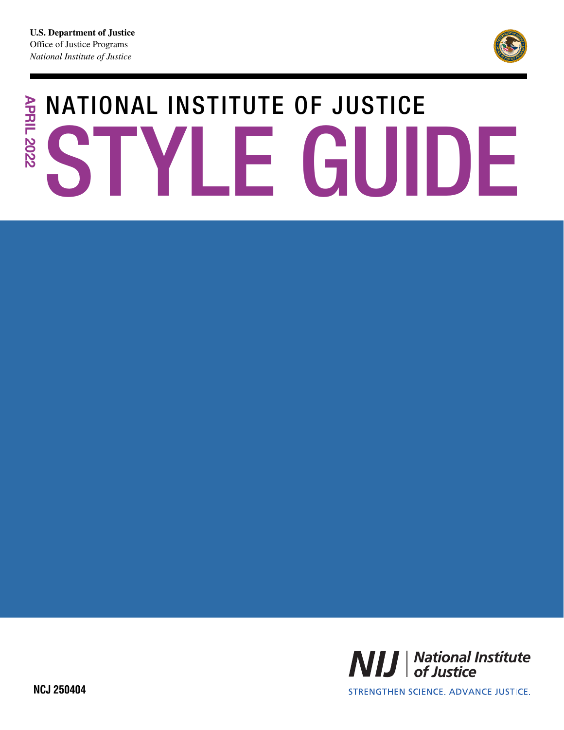

# NATIONAL INSTITUTE OF JUSTICE **APRIL 2022 APRIL 2022** STYLE GUIDE



STRENGTHEN SCIENCE, ADVANCE JUSTICE.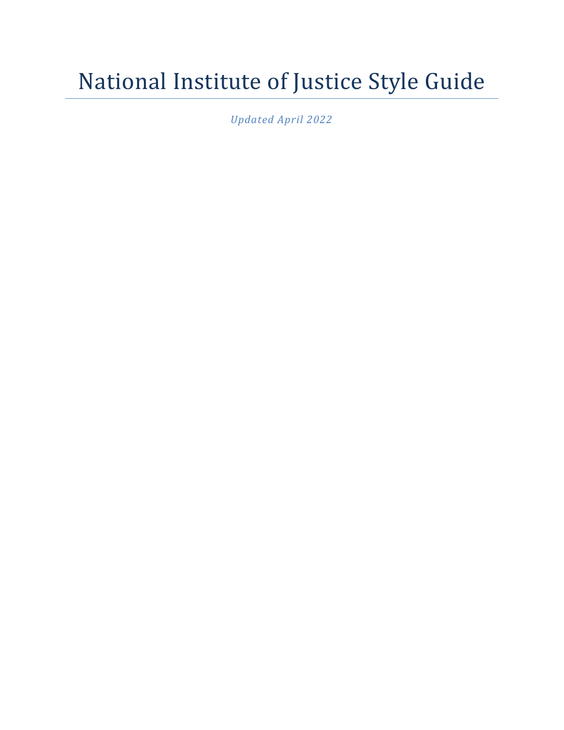# National Institute of Justice Style Guide

*Updated April 2022*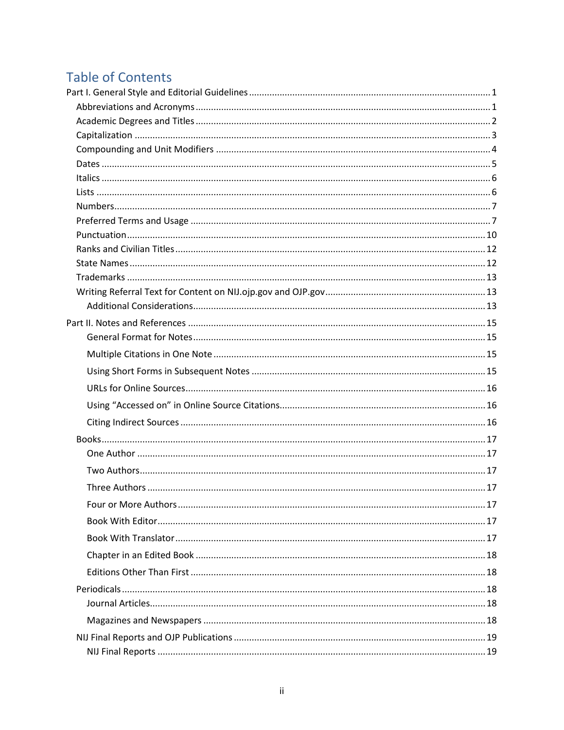# **Table of Contents**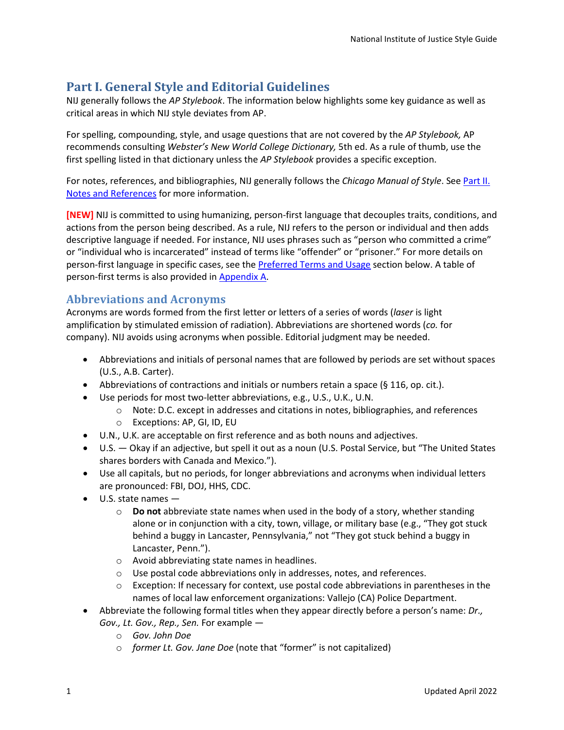# <span id="page-4-0"></span>**Part I. General Style and Editorial Guidelines**

NIJ generally follows the *AP Stylebook*. The information below highlights some key guidance as well as critical areas in which NIJ style deviates from AP.

For spelling, compounding, style, and usage questions that are not covered by the *AP Stylebook,* AP recommends consulting *Webster's New World College Dictionary,* 5th ed. As a rule of thumb, use the first spelling listed in that dictionary unless the *AP Stylebook* provides a specific exception.

For notes, references, and bibliographies, NIJ generally follows the *Chicago Manual of Style*. See [Part II.](#page-18-0) [Notes and References](#page-18-0) for more information.

**[NEW]** NIJ is committed to using humanizing, person-first language that decouples traits, conditions, and actions from the person being described. As a rule, NIJ refers to the person or individual and then adds descriptive language if needed. For instance, NIJ uses phrases such as "person who committed a crime" or "individual who is incarcerated" instead of terms like "offender" or "prisoner." For more details on person-first language in specific cases, see the [Preferred Terms and Usage](#page-10-1) section below. A table of person-first terms is also provided in [Appendix A.](#page-30-0)

# <span id="page-4-1"></span>**Abbreviations and Acronyms**

Acronyms are words formed from the first letter or letters of a series of words (*laser* is light amplification by stimulated emission of radiation). Abbreviations are shortened words (*co.* for company). NIJ avoids using acronyms when possible. Editorial judgment may be needed.

- Abbreviations and initials of personal names that are followed by periods are set without spaces (U.S., A.B. Carter).
- Abbreviations of contractions and initials or numbers retain a space  $(§\ 116, op\ .\ \text{cit.}).$
- Use periods for most two-letter abbreviations, e.g., U.S., U.K., U.N.
	- o Note: D.C. except in addresses and citations in notes, bibliographies, and references
	- o Exceptions: AP, GI, ID, EU
- U.N., U.K. are acceptable on first reference and as both nouns and adjectives.
- U.S. Okay if an adjective, but spell it out as a noun (U.S. Postal Service, but "The United States shares borders with Canada and Mexico.").
- Use all capitals, but no periods, for longer abbreviations and acronyms when individual letters are pronounced: FBI, DOJ, HHS, CDC.
- U.S. state names
	- o **Do not** abbreviate state names when used in the body of a story, whether standing alone or in conjunction with a city, town, village, or military base (e.g., "They got stuck behind a buggy in Lancaster, Pennsylvania," not "They got stuck behind a buggy in Lancaster, Penn.").
	- o Avoid abbreviating state names in headlines.
	- o Use postal code abbreviations only in addresses, notes, and references.
	- $\circ$  Exception: If necessary for context, use postal code abbreviations in parentheses in the names of local law enforcement organizations: Vallejo (CA) Police Department.
- Abbreviate the following formal titles when they appear directly before a person's name: *Dr., Gov., Lt. Gov., Rep., Sen.* For example
	- o *Gov. John Doe*
	- o *former Lt. Gov. Jane Doe* (note that "former" is not capitalized)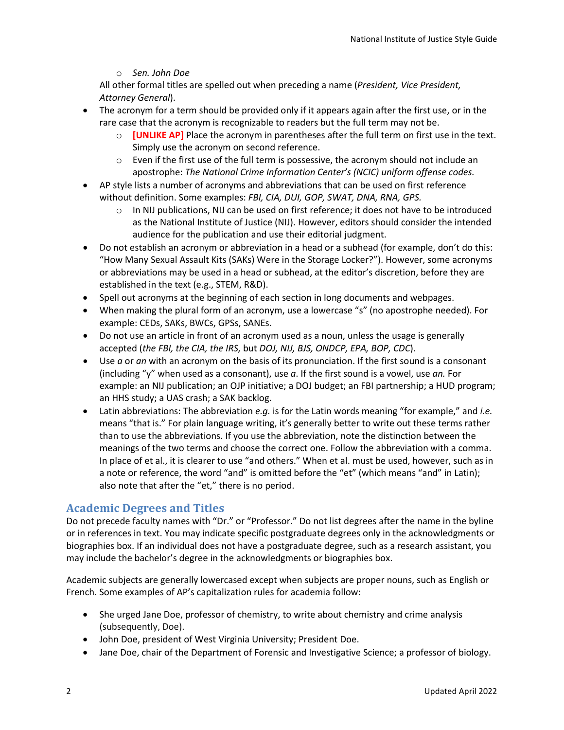## o *Sen. John Doe*

All other formal titles are spelled out when preceding a name (*President, Vice President, Attorney General*).

- The acronym for a term should be provided only if it appears again after the first use, or in the rare case that the acronym is recognizable to readers but the full term may not be.
	- o **[UNLIKE AP]** Place the acronym in parentheses after the full term on first use in the text. Simply use the acronym on second reference.
	- $\circ$  Even if the first use of the full term is possessive, the acronym should not include an apostrophe: *The National Crime Information Center's (NCIC) uniform offense codes.*
- AP style lists a number of acronyms and abbreviations that can be used on first reference without definition. Some examples: *FBI, CIA, DUI, GOP, SWAT, DNA, RNA, GPS.*
	- o In NIJ publications, NIJ can be used on first reference; it does not have to be introduced as the National Institute of Justice (NIJ). However, editors should consider the intended audience for the publication and use their editorial judgment.
- Do not establish an acronym or abbreviation in a head or a subhead (for example, don't do this: "How Many Sexual Assault Kits (SAKs) Were in the Storage Locker?"). However, some acronyms or abbreviations may be used in a head or subhead, at the editor's discretion, before they are established in the text (e.g., STEM, R&D).
- Spell out acronyms at the beginning of each section in long documents and webpages.
- When making the plural form of an acronym, use a lowercase "s" (no apostrophe needed). For example: CEDs, SAKs, BWCs, GPSs, SANEs.
- Do not use an article in front of an acronym used as a noun, unless the usage is generally accepted (*the FBI, the CIA, the IRS,* but *DOJ, NIJ, BJS, ONDCP, EPA, BOP, CDC*).
- Use *a* or *an* with an acronym on the basis of its pronunciation. If the first sound is a consonant (including "y" when used as a consonant), use *a*. If the first sound is a vowel, use *an.* For example: an NIJ publication; an OJP initiative; a DOJ budget; an FBI partnership; a HUD program; an HHS study; a UAS crash; a SAK backlog.
- Latin abbreviations: The abbreviation *e.g.* is for the Latin words meaning "for example," and *i.e.* means "that is." For plain language writing, it's generally better to write out these terms rather than to use the abbreviations. If you use the abbreviation, note the distinction between the meanings of the two terms and choose the correct one. Follow the abbreviation with a comma. In place of et al., it is clearer to use "and others." When et al. must be used, however, such as in a note or reference, the word "and" is omitted before the "et" (which means "and" in Latin); also note that after the "et," there is no period.

# <span id="page-5-0"></span>**Academic Degrees and Titles**

Do not precede faculty names with "Dr." or "Professor." Do not list degrees after the name in the byline or in references in text. You may indicate specific postgraduate degrees only in the acknowledgments or biographies box. If an individual does not have a postgraduate degree, such as a research assistant, you may include the bachelor's degree in the acknowledgments or biographies box.

Academic subjects are generally lowercased except when subjects are proper nouns, such as English or French. Some examples of AP's capitalization rules for academia follow:

- She urged Jane Doe, professor of chemistry, to write about chemistry and crime analysis (subsequently, Doe).
- John Doe, president of West Virginia University; President Doe.
- Jane Doe, chair of the Department of Forensic and Investigative Science; a professor of biology.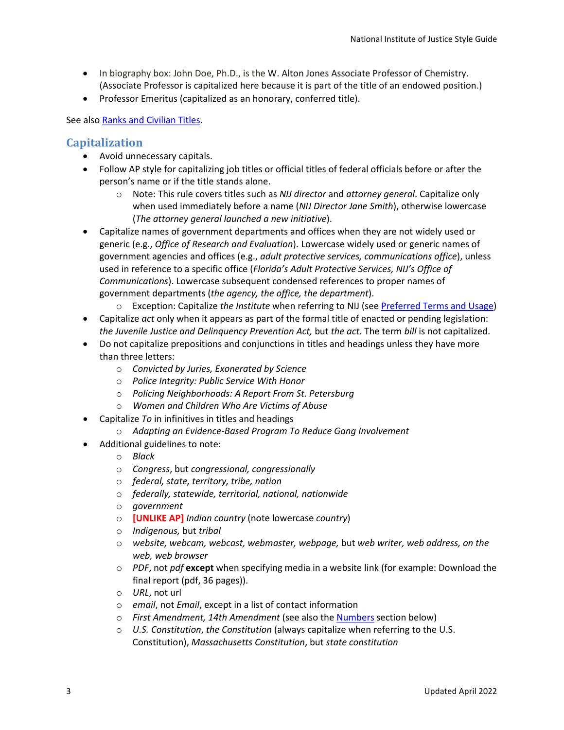- In biography box: John Doe, Ph.D., is the W. Alton Jones Associate Professor of Chemistry. (Associate Professor is capitalized here because it is part of the title of an endowed position.)
- Professor Emeritus (capitalized as an honorary, conferred title).

See also [Ranks and Civilian Titles.](#page-15-0)

# <span id="page-6-0"></span>**Capitalization**

- Avoid unnecessary capitals.
- Follow AP style for capitalizing job titles or official titles of federal officials before or after the person's name or if the title stands alone.
	- o Note: This rule covers titles such as *NIJ director* and *attorney general*. Capitalize only when used immediately before a name (*NIJ Director Jane Smith*), otherwise lowercase (*The attorney general launched a new initiative*).
- Capitalize names of government departments and offices when they are not widely used or generic (e.g., *Office of Research and Evaluation*). Lowercase widely used or generic names of government agencies and offices (e.g., *adult protective services, communications office*), unless used in reference to a specific office (*Florida's Adult Protective Services, NIJ's Office of Communications*). Lowercase subsequent condensed references to proper names of government departments (*the agency, the office, the department*).
	- o Exception: Capitalize *the Institute* when referring to NIJ (see [Preferred Terms and Usage\)](#page-10-1)
- Capitalize *act* only when it appears as part of the formal title of enacted or pending legislation: *the Juvenile Justice and Delinquency Prevention Act,* but *the act.* The term *bill* is not capitalized.
- Do not capitalize prepositions and conjunctions in titles and headings unless they have more than three letters:
	- o *Convicted by Juries, Exonerated by Science*
	- o *Police Integrity: Public Service With Honor*
	- o *Policing Neighborhoods: A Report From St. Petersburg*
	- o *Women and Children Who Are Victims of Abuse*
- Capitalize *To* in infinitives in titles and headings
	- o *Adapting an Evidence-Based Program To Reduce Gang Involvement*
- Additional guidelines to note:
	- o *Black*
	- o *Congress*, but *congressional, congressionally*
	- o *federal, state, territory, tribe, nation*
	- o *federally, statewide, territorial, national, nationwide*
	- o *government*
	- o **[UNLIKE AP]** *Indian country* (note lowercase *country*)
	- o *Indigenous,* but *tribal*
	- o *website, webcam, webcast, webmaster, webpage,* but *web writer, web address, on the web, web browser*
	- o *PDF*, not *pdf* **except** when specifying media in a website link (for example: Download the final report (pdf, 36 pages)).
	- o *URL*, not url
	- o *email*, not *Email*, except in a list of contact information
	- o *First Amendment, 14th Amendment* (see also the [Numbers](#page-10-0) section below)
	- o *U.S. Constitution*, *the Constitution* (always capitalize when referring to the U.S. Constitution), *Massachusetts Constitution*, but *state constitution*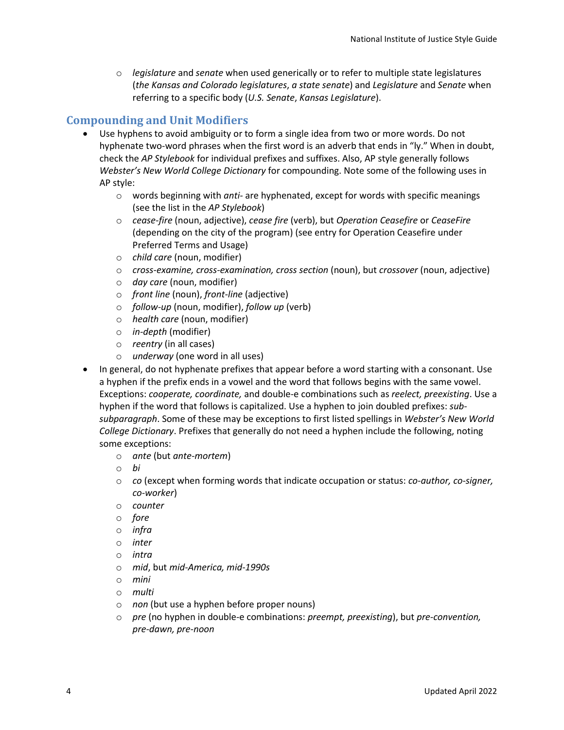o *legislature* and *senate* when used generically or to refer to multiple state legislatures (*the Kansas and Colorado legislatures*, *a state senate*) and *Legislature* and *Senate* when referring to a specific body (*U.S. Senate*, *Kansas Legislature*).

# <span id="page-7-0"></span>**Compounding and Unit Modifiers**

- Use hyphens to avoid ambiguity or to form a single idea from two or more words. Do not hyphenate two-word phrases when the first word is an adverb that ends in "ly." When in doubt, check the *AP Stylebook* for individual prefixes and suffixes. Also, AP style generally follows *Webster's New World College Dictionary* for compounding. Note some of the following uses in AP style:
	- o words beginning with *anti-* are hyphenated, except for words with specific meanings (see the list in the *AP Stylebook*)
	- o *cease-fire* (noun, adjective), *cease fire* (verb), but *Operation Ceasefire* or *CeaseFire* (depending on the city of the program) (see entry for Operation Ceasefire under Preferred Terms and Usage)
	- o *child care* (noun, modifier)
	- o *cross-examine, cross-examination, cross section* (noun), but *crossover* (noun, adjective)
	- o *day care* (noun, modifier)
	- o *front line* (noun), *front-line* (adjective)
	- o *follow-up* (noun, modifier), *follow up* (verb)
	- o *health care* (noun, modifier)
	- o *in-depth* (modifier)
	- o *reentry* (in all cases)
	- o *underway* (one word in all uses)
- In general, do not hyphenate prefixes that appear before a word starting with a consonant. Use a hyphen if the prefix ends in a vowel and the word that follows begins with the same vowel. Exceptions: *cooperate, coordinate,* and double-e combinations such as *reelect, preexisting*. Use a hyphen if the word that follows is capitalized. Use a hyphen to join doubled prefixes: *subsubparagraph*. Some of these may be exceptions to first listed spellings in *Webster's New World College Dictionary*. Prefixes that generally do not need a hyphen include the following, noting some exceptions:
	- o *ante* (but *ante-mortem*)
	- o *bi*
	- o *co* (except when forming words that indicate occupation or status: *co-author, co-signer, co-worker*)
	- o *counter*
	- o *fore*
	- o *infra*
	- o *inter*
	- o *intra*
	- o *mid*, but *mid-America, mid-1990s*
	- o *mini*
	- o *multi*
	- o *non* (but use a hyphen before proper nouns)
	- o *pre* (no hyphen in double-e combinations: *preempt, preexisting*), but *pre-convention, pre-dawn, pre-noon*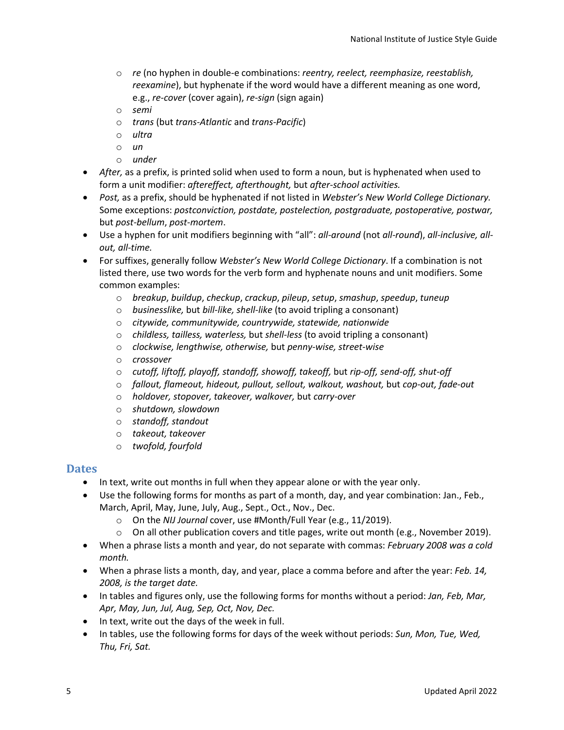- o *re* (no hyphen in double-e combinations: *reentry, reelect, reemphasize, reestablish, reexamine*), but hyphenate if the word would have a different meaning as one word, e.g., *re-cover* (cover again), *re-sign* (sign again)
- o *semi*
- o *trans* (but *trans-Atlantic* and *trans-Pacific*)
- o *ultra*
- o *un*
- o *under*
- *After,* as a prefix, is printed solid when used to form a noun, but is hyphenated when used to form a unit modifier: *aftereffect, afterthought,* but *after-school activities.*
- *Post,* as a prefix, should be hyphenated if not listed in *Webster's New World College Dictionary.*  Some exceptions: *postconviction, postdate, postelection, postgraduate, postoperative, postwar,* but *post-bellum*, *post-mortem*.
- Use a hyphen for unit modifiers beginning with "all": *all-around* (not *all-round*), *all-inclusive, allout, all-time.*
- For suffixes, generally follow *Webster's New World College Dictionary*. If a combination is not listed there, use two words for the verb form and hyphenate nouns and unit modifiers. Some common examples:
	- o *breakup*, *buildup*, *checkup*, *crackup*, *pileup*, *setup*, *smashup*, *speedup*, *tuneup*
	- o *businesslike,* but *bill-like, shell-like* (to avoid tripling a consonant)
	- o *citywide, communitywide, countrywide, statewide, nationwide*
	- o *childless, tailless, waterless,* but *shell-less* (to avoid tripling a consonant)
	- o *clockwise, lengthwise, otherwise,* but *penny-wise, street-wise*
	- o *crossover*
	- o *cutoff, liftoff, playoff, standoff, showoff, takeoff,* but *rip-off, send-off, shut-off*
	- o *fallout, flameout, hideout, pullout, sellout, walkout, washout,* but *cop-out, fade-out*
	- o *holdover, stopover, takeover, walkover,* but *carry-over*
	- o *shutdown, slowdown*
	- o *standoff, standout*
	- o *takeout, takeover*
	- o *twofold, fourfold*

## <span id="page-8-0"></span>**Dates**

- In text, write out months in full when they appear alone or with the year only.
- Use the following forms for months as part of a month, day, and year combination: Jan., Feb., March, April, May, June, July, Aug., Sept., Oct., Nov., Dec.
	- o On the *NIJ Journal* cover, use #Month/Full Year (e.g., 11/2019).
	- $\circ$  On all other publication covers and title pages, write out month (e.g., November 2019).
- When a phrase lists a month and year, do not separate with commas: *February 2008 was a cold month.*
- When a phrase lists a month, day, and year, place a comma before and after the year: *Feb. 14, 2008, is the target date.*
- In tables and figures only, use the following forms for months without a period: *Jan, Feb, Mar, Apr, May, Jun, Jul, Aug, Sep, Oct, Nov, Dec.*
- In text, write out the days of the week in full.
- In tables, use the following forms for days of the week without periods: *Sun, Mon, Tue, Wed, Thu, Fri, Sat.*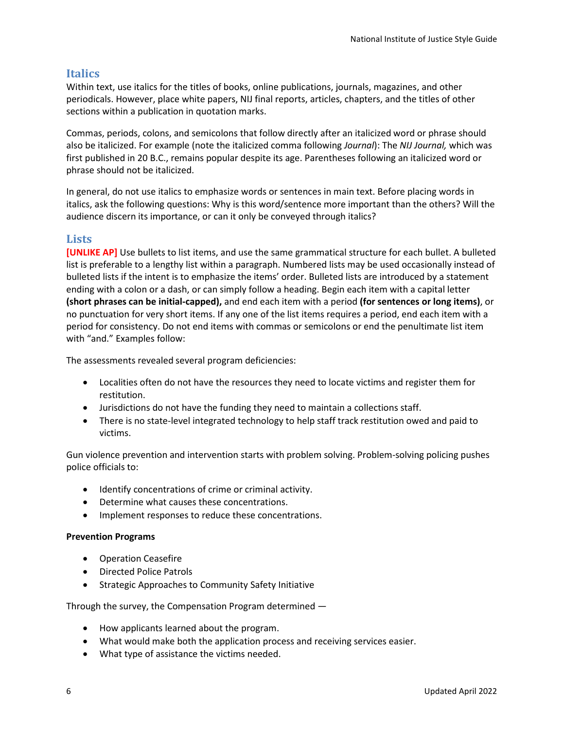# <span id="page-9-0"></span>**Italics**

Within text, use italics for the titles of books, online publications, journals, magazines, and other periodicals. However, place white papers, NIJ final reports, articles, chapters, and the titles of other sections within a publication in quotation marks.

Commas, periods, colons, and semicolons that follow directly after an italicized word or phrase should also be italicized. For example (note the italicized comma following *Journal*): The *NIJ Journal,* which was first published in 20 B.C., remains popular despite its age. Parentheses following an italicized word or phrase should not be italicized.

In general, do not use italics to emphasize words or sentences in main text. Before placing words in italics, ask the following questions: Why is this word/sentence more important than the others? Will the audience discern its importance, or can it only be conveyed through italics?

# <span id="page-9-1"></span>**Lists**

**[UNLIKE AP]** Use bullets to list items, and use the same grammatical structure for each bullet. A bulleted list is preferable to a lengthy list within a paragraph. Numbered lists may be used occasionally instead of bulleted lists if the intent is to emphasize the items' order. Bulleted lists are introduced by a statement ending with a colon or a dash, or can simply follow a heading. Begin each item with a capital letter **(short phrases can be initial-capped),** and end each item with a period **(for sentences or long items)**, or no punctuation for very short items. If any one of the list items requires a period, end each item with a period for consistency. Do not end items with commas or semicolons or end the penultimate list item with "and." Examples follow:

The assessments revealed several program deficiencies:

- Localities often do not have the resources they need to locate victims and register them for restitution.
- Jurisdictions do not have the funding they need to maintain a collections staff.
- There is no state-level integrated technology to help staff track restitution owed and paid to victims.

Gun violence prevention and intervention starts with problem solving. Problem-solving policing pushes police officials to:

- Identify concentrations of crime or criminal activity.
- Determine what causes these concentrations.
- Implement responses to reduce these concentrations.

## **Prevention Programs**

- Operation Ceasefire
- Directed Police Patrols
- Strategic Approaches to Community Safety Initiative

Through the survey, the Compensation Program determined —

- How applicants learned about the program.
- What would make both the application process and receiving services easier.
- What type of assistance the victims needed.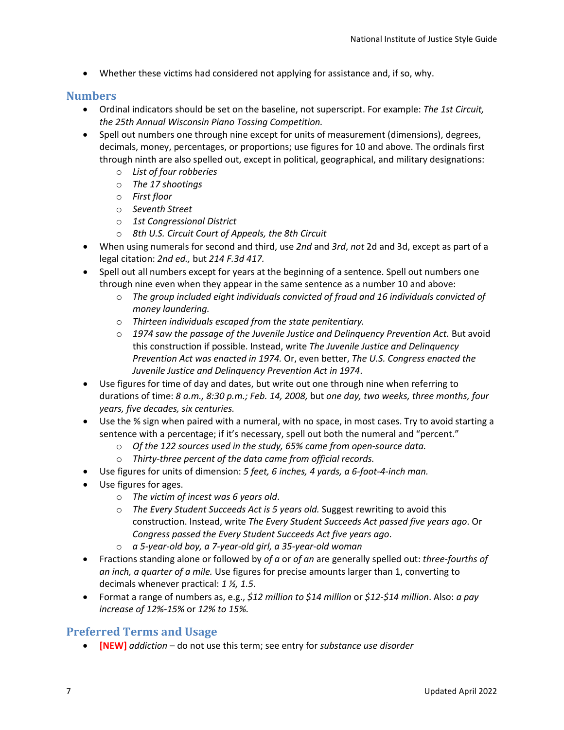• Whether these victims had considered not applying for assistance and, if so, why.

# <span id="page-10-0"></span>**Numbers**

- Ordinal indicators should be set on the baseline, not superscript. For example: *The 1st Circuit, the 25th Annual Wisconsin Piano Tossing Competition.*
- Spell out numbers one through nine except for units of measurement (dimensions), degrees, decimals, money, percentages, or proportions; use figures for 10 and above. The ordinals first through ninth are also spelled out, except in political, geographical, and military designations:
	- o *List of four robberies*
	- o *The 17 shootings*
	- o *First floor*
	- o *Seventh Street*
	- o *1st Congressional District*
	- o *8th U.S. Circuit Court of Appeals, the 8th Circuit*
- When using numerals for second and third, use *2nd* and *3rd*, *not* 2d and 3d, except as part of a legal citation: *2nd ed.,* but *214 F.3d 417.*
- Spell out all numbers except for years at the beginning of a sentence. Spell out numbers one through nine even when they appear in the same sentence as a number 10 and above:
	- o *The group included eight individuals convicted of fraud and 16 individuals convicted of money laundering.*
	- o *Thirteen individuals escaped from the state penitentiary.*
	- o *1974 saw the passage of the Juvenile Justice and Delinquency Prevention Act.* But avoid this construction if possible. Instead, write *The Juvenile Justice and Delinquency Prevention Act was enacted in 1974.* Or, even better, *The U.S. Congress enacted the Juvenile Justice and Delinquency Prevention Act in 1974*.
- Use figures for time of day and dates, but write out one through nine when referring to durations of time: *8 a.m., 8:30 p.m.; Feb. 14, 2008,* but *one day, two weeks, three months, four years, five decades, six centuries.*
- Use the % sign when paired with a numeral, with no space, in most cases. Try to avoid starting a sentence with a percentage; if it's necessary, spell out both the numeral and "percent."
	- o *Of the 122 sources used in the study, 65% came from open-source data.*
	- o *Thirty-three percent of the data came from official records.*
- Use figures for units of dimension: *5 feet, 6 inches, 4 yards, a 6-foot-4-inch man.*
- Use figures for ages.
	- o *The victim of incest was 6 years old*.
	- o *The Every Student Succeeds Act is 5 years old.* Suggest rewriting to avoid this construction. Instead, write *The Every Student Succeeds Act passed five years ago*. Or *Congress passed the Every Student Succeeds Act five years ago*.
	- o *a 5-year-old boy, a 7-year-old girl, a 35-year-old woman*
- Fractions standing alone or followed by *of a* or *of an* are generally spelled out: *three-fourths of an inch, a quarter of a mile.* Use figures for precise amounts larger than 1, converting to decimals whenever practical: *1 ½, 1.5*.
- Format a range of numbers as, e.g., *\$12 million to \$14 million* or *\$12-\$14 million*. Also: *a pay increase of 12%-15%* or *12% to 15%.*

# <span id="page-10-1"></span>**Preferred Terms and Usage**

• **[NEW]** *addiction* – do not use this term; see entry for *substance use disorder*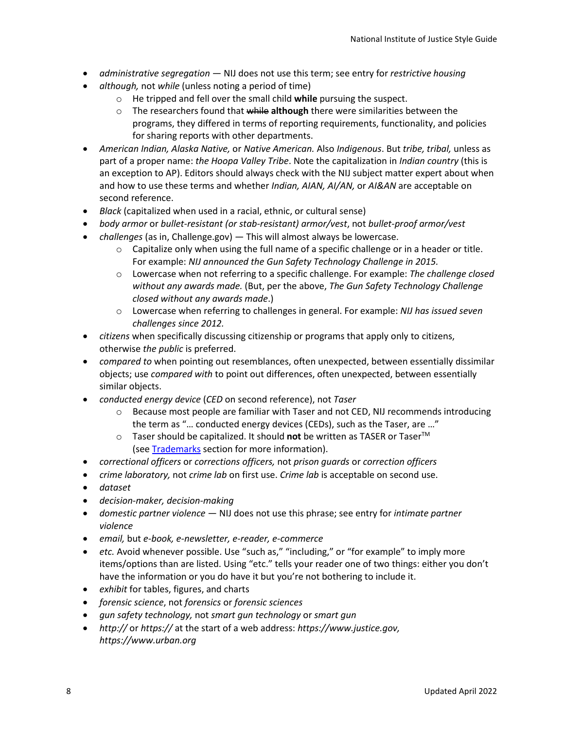- *administrative segregation*  NIJ does not use this term; see entry for *restrictive housing*
- *although,* not *while* (unless noting a period of time)
	- o He tripped and fell over the small child **while** pursuing the suspect.
	- o The researchers found that while **although** there were similarities between the programs, they differed in terms of reporting requirements, functionality, and policies for sharing reports with other departments.
- *American Indian, Alaska Native,* or *Native American.* Also *Indigenous*. But *tribe, tribal,* unless as part of a proper name: *the Hoopa Valley Tribe*. Note the capitalization in *Indian country* (this is an exception to AP). Editors should always check with the NIJ subject matter expert about when and how to use these terms and whether *Indian, AIAN, AI/AN,* or *AI&AN* are acceptable on second reference.
- *Black* (capitalized when used in a racial, ethnic, or cultural sense)
- *body armor* or *bullet-resistant (or stab-resistant) armor/vest*, not *bullet-proof armor/vest*
- *challenges* (as in, Challenge.gov) This will almost always be lowercase.
	- $\circ$  Capitalize only when using the full name of a specific challenge or in a header or title. For example: *NIJ announced the Gun Safety Technology Challenge in 2015.*
	- o Lowercase when not referring to a specific challenge. For example: *The challenge closed without any awards made.* (But, per the above, *The Gun Safety Technology Challenge closed without any awards made*.)
	- o Lowercase when referring to challenges in general. For example: *NIJ has issued seven challenges since 2012.*
- *citizens* when specifically discussing citizenship or programs that apply only to citizens, otherwise *the public* is preferred.
- *compared to* when pointing out resemblances, often unexpected, between essentially dissimilar objects; use *compared with* to point out differences, often unexpected, between essentially similar objects.
- *conducted energy device* (*CED* on second reference), not *Taser*
	- $\circ$  Because most people are familiar with Taser and not CED, NIJ recommends introducing the term as "… conducted energy devices (CEDs), such as the Taser, are …"
	- o Taser should be capitalized. It should **not** be written as TASER or TaserTM (see **[Trademarks](#page-16-0)** section for more information).
- *correctional officers* or *corrections officers,* not *prison guards* or *correction officers*
- *crime laboratory,* not *crime lab* on first use. *Crime lab* is acceptable on second use.
- *dataset*
- *decision-maker, decision-making*
- *domestic partner violence* NIJ does not use this phrase; see entry for *intimate partner violence*
- *email,* but *e-book, e-newsletter, e-reader, e-commerce*
- *etc.* Avoid whenever possible. Use "such as," "including," or "for example" to imply more items/options than are listed. Using "etc." tells your reader one of two things: either you don't have the information or you do have it but you're not bothering to include it.
- *exhibit* for tables, figures, and charts
- *forensic science*, not *forensics* or *forensic sciences*
- *gun safety technology,* not *smart gun technology* or *smart gun*
- *http://* or *https://* at the start of a web address: *https://www.justice.gov, https://www.urban.org*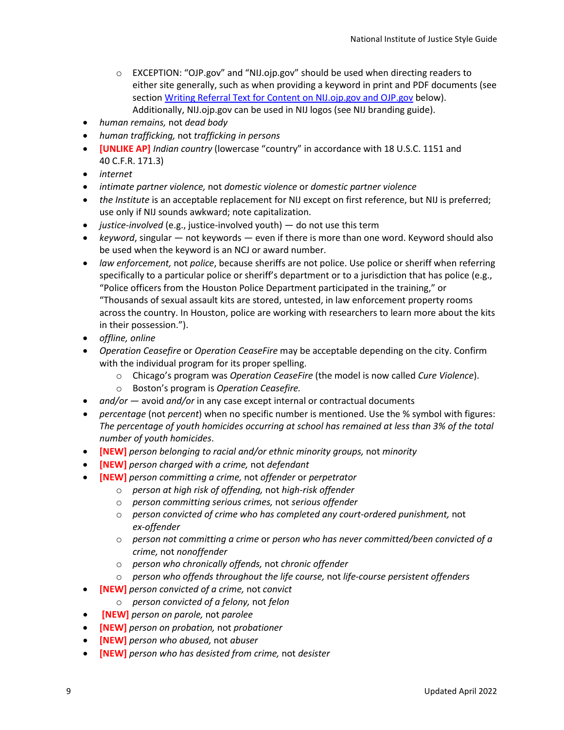- $\circ$  EXCEPTION: "OJP.gov" and "NIJ.ojp.gov" should be used when directing readers to either site generally, such as when providing a keyword in print and PDF documents (see section Writing Referral Text for [Content on NIJ.ojp.gov and OJP.gov](#page-16-1) below). Additionally, NIJ.ojp.gov can be used in NIJ logos (see NIJ branding guide).
- *human remains,* not *dead body*
- *human trafficking,* not *trafficking in persons*
- **[UNLIKE AP]** *Indian country* (lowercase "country" in accordance with 18 U.S.C. 1151 and 40 C.F.R. 171.3)
- *internet*
- *intimate partner violence,* not *domestic violence* or *domestic partner violence*
- *the Institute* is an acceptable replacement for NIJ except on first reference, but NIJ is preferred; use only if NIJ sounds awkward; note capitalization.
- *justice-involved* (e.g., justice-involved youth) do not use this term
- *keyword*, singular not keywords even if there is more than one word. Keyword should also be used when the keyword is an NCJ or award number.
- *law enforcement,* not *police*, because sheriffs are not police. Use police or sheriff when referring specifically to a particular police or sheriff's department or to a jurisdiction that has police (e.g., "Police officers from the Houston Police Department participated in the training," or "Thousands of sexual assault kits are stored, untested, in law enforcement property rooms across the country. In Houston, police are working with researchers to learn more about the kits in their possession.").
- *offline, online*
- *Operation Ceasefire* or *Operation CeaseFire* may be acceptable depending on the city. Confirm with the individual program for its proper spelling.
	- o Chicago's program was *Operation CeaseFire* (the model is now called *Cure Violence*).
	- o Boston's program is *Operation Ceasefire.*
- *and/or*  avoid *and/or* in any case except internal or contractual documents
- *percentage* (not *percent*) when no specific number is mentioned. Use the % symbol with figures: *The percentage of youth homicides occurring at school has remained at less than 3% of the total number of youth homicides*.
- **[NEW]** *person belonging to racial and/or ethnic minority groups,* not *minority*
- **[NEW]** *person charged with a crime,* not *defendant*
- **[NEW]** *person committing a crime,* not *offender* or *perpetrator*
	- o *person at high risk of offending,* not *high-risk offender*
	- o *person committing serious crimes,* not *serious offender*
	- o *person convicted of crime who has completed any court-ordered punishment,* not *ex-offender*
	- o *person not committing a crime* or *person who has never committed/been convicted of a crime,* not *nonoffender*
	- o *person who chronically offends,* not *chronic offender*
	- o *person who offends throughout the life course,* not *life-course persistent offenders*
- **[NEW]** *person convicted of a crime,* not *convict*
	- o *person convicted of a felony,* not *felon*
- **[NEW]** *person on parole,* not *parolee*
- **[NEW]** *person on probation,* not *probationer*
- **[NEW]** *person who abused,* not *abuser*
- **[NEW]** *person who has desisted from crime,* not *desister*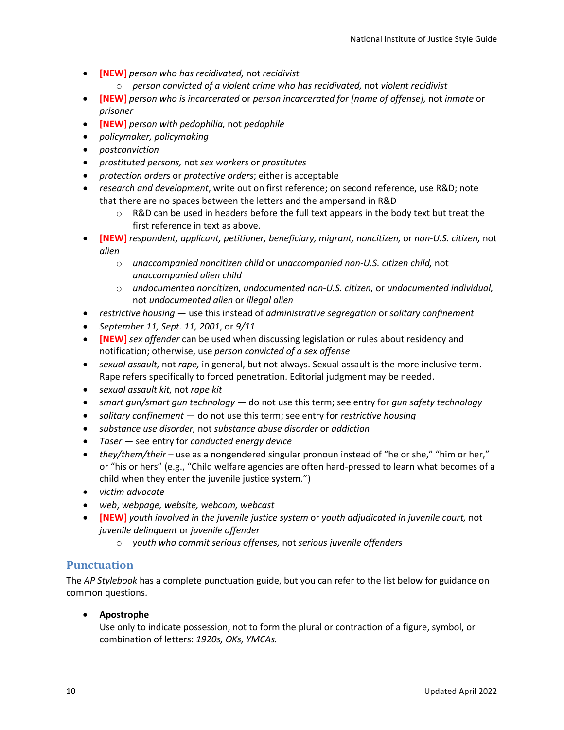- **[NEW]** *person who has recidivated,* not *recidivist*
	- o *person convicted of a violent crime who has recidivated,* not *violent recidivist*
- **[NEW]** *person who is incarcerated* or *person incarcerated for [name of offense],* not *inmate* or *prisoner*
- **[NEW]** *person with pedophilia,* not *pedophile*
- *policymaker, policymaking*
- *postconviction*
- *prostituted persons,* not *sex workers* or *prostitutes*
- *protection orders* or *protective orders*; either is acceptable
- *research and development*, write out on first reference; on second reference, use R&D; note that there are no spaces between the letters and the ampersand in R&D
	- $\circ$  R&D can be used in headers before the full text appears in the body text but treat the first reference in text as above.
- **[NEW]** *respondent, applicant, petitioner, beneficiary, migrant, noncitizen,* or *non-U.S. citizen,* not *alien*
	- o *unaccompanied noncitizen child* or *unaccompanied non-U.S. citizen child,* not *unaccompanied alien child*
	- o *undocumented noncitizen, undocumented non-U.S. citizen,* or *undocumented individual,* not *undocumented alien* or *illegal alien*
- *restrictive housing* use this instead of *administrative segregation* or *solitary confinement*
- *September 11, Sept. 11, 2001*, or *9/11*
- **[NEW]** *sex offender* can be used when discussing legislation or rules about residency and notification; otherwise, use *person convicted of a sex offense*
- *sexual assault,* not *rape,* in general, but not always. Sexual assault is the more inclusive term. Rape refers specifically to forced penetration. Editorial judgment may be needed.
- *sexual assault kit,* not *rape kit*
- *smart gun/smart gun technology* do not use this term; see entry for *gun safety technology*
- *solitary confinement* do not use this term; see entry for *restrictive housing*
- *substance use disorder,* not *substance abuse disorder* or *addiction*
- *Taser* see entry for *conducted energy device*
- *they/them/their* use as a nongendered singular pronoun instead of "he or she," "him or her," or "his or hers" (e.g., "Child welfare agencies are often hard-pressed to learn what becomes of a child when they enter the juvenile justice system.")
- *victim advocate*
- *web*, *webpage, website, webcam, webcast*
- **[NEW]** *youth involved in the juvenile justice system* or *youth adjudicated in juvenile court,* not *juvenile delinquent* or *juvenile offender*
	- o *youth who commit serious offenses,* not *serious juvenile offenders*

# <span id="page-13-0"></span>**Punctuation**

The *AP Stylebook* has a complete punctuation guide, but you can refer to the list below for guidance on common questions.

• **Apostrophe**

Use only to indicate possession, not to form the plural or contraction of a figure, symbol, or combination of letters: *1920s, OKs, YMCAs.*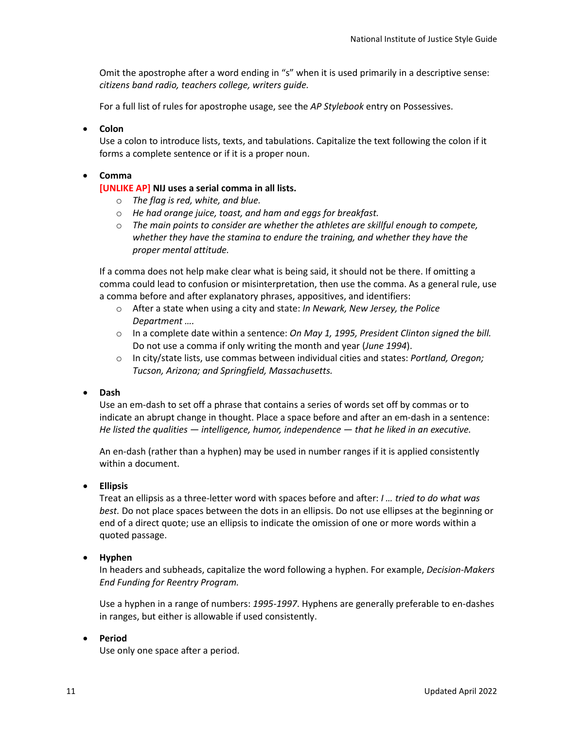Omit the apostrophe after a word ending in "s" when it is used primarily in a descriptive sense: *citizens band radio, teachers college, writers guide.*

For a full list of rules for apostrophe usage, see the *AP Stylebook* entry on Possessives.

#### • **Colon**

Use a colon to introduce lists, texts, and tabulations. Capitalize the text following the colon if it forms a complete sentence or if it is a proper noun.

#### • **Comma**

#### **[UNLIKE AP] NIJ uses a serial comma in all lists.**

- o *The flag is red, white, and blue.*
- o *He had orange juice, toast, and ham and eggs for breakfast.*
- o *The main points to consider are whether the athletes are skillful enough to compete, whether they have the stamina to endure the training, and whether they have the proper mental attitude.*

If a comma does not help make clear what is being said, it should not be there. If omitting a comma could lead to confusion or misinterpretation, then use the comma. As a general rule, use a comma before and after explanatory phrases, appositives, and identifiers:

- o After a state when using a city and state: *In Newark, New Jersey, the Police Department ….*
- o In a complete date within a sentence: *On May 1, 1995, President Clinton signed the bill.* Do not use a comma if only writing the month and year (*June 1994*).
- o In city/state lists, use commas between individual cities and states: *Portland, Oregon; Tucson, Arizona; and Springfield, Massachusetts.*

#### • **Dash**

Use an em-dash to set off a phrase that contains a series of words set off by commas or to indicate an abrupt change in thought. Place a space before and after an em-dash in a sentence: *He listed the qualities — intelligence, humor, independence — that he liked in an executive.*

An en-dash (rather than a hyphen) may be used in number ranges if it is applied consistently within a document.

#### • **Ellipsis**

Treat an ellipsis as a three-letter word with spaces before and after: *I … tried to do what was best.* Do not place spaces between the dots in an ellipsis. Do not use ellipses at the beginning or end of a direct quote; use an ellipsis to indicate the omission of one or more words within a quoted passage.

## • **Hyphen**

In headers and subheads, capitalize the word following a hyphen. For example, *Decision-Makers End Funding for Reentry Program.*

Use a hyphen in a range of numbers: *1995-1997*. Hyphens are generally preferable to en-dashes in ranges, but either is allowable if used consistently.

#### • **Period**

Use only one space after a period.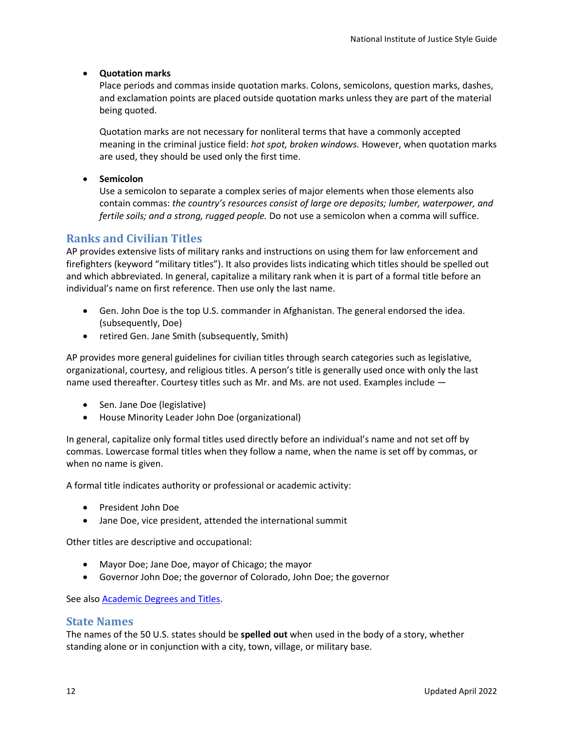## • **Quotation marks**

Place periods and commas inside quotation marks. Colons, semicolons, question marks, dashes, and exclamation points are placed outside quotation marks unless they are part of the material being quoted.

Quotation marks are not necessary for nonliteral terms that have a commonly accepted meaning in the criminal justice field: *hot spot, broken windows.* However, when quotation marks are used, they should be used only the first time.

• **Semicolon**

Use a semicolon to separate a complex series of major elements when those elements also contain commas: *the country's resources consist of large ore deposits; lumber, waterpower, and fertile soils; and a strong, rugged people.* Do not use a semicolon when a comma will suffice.

# <span id="page-15-0"></span>**Ranks and Civilian Titles**

AP provides extensive lists of military ranks and instructions on using them for law enforcement and firefighters (keyword "military titles"). It also provides lists indicating which titles should be spelled out and which abbreviated. In general, capitalize a military rank when it is part of a formal title before an individual's name on first reference. Then use only the last name.

- Gen. John Doe is the top U.S. commander in Afghanistan. The general endorsed the idea. (subsequently, Doe)
- retired Gen. Jane Smith (subsequently, Smith)

AP provides more general guidelines for civilian titles through search categories such as legislative, organizational, courtesy, and religious titles. A person's title is generally used once with only the last name used thereafter. Courtesy titles such as Mr. and Ms. are not used. Examples include —

- Sen. Jane Doe (legislative)
- House Minority Leader John Doe (organizational)

In general, capitalize only formal titles used directly before an individual's name and not set off by commas. Lowercase formal titles when they follow a name, when the name is set off by commas, or when no name is given.

A formal title indicates authority or professional or academic activity:

- President John Doe
- Jane Doe, vice president, attended the international summit

Other titles are descriptive and occupational:

- Mayor Doe; Jane Doe, mayor of Chicago; the mayor
- Governor John Doe; the governor of Colorado, John Doe; the governor

See also [Academic Degrees and Titles.](#page-5-0)

## <span id="page-15-1"></span>**State Names**

The names of the 50 U.S. states should be **spelled out** when used in the body of a story, whether standing alone or in conjunction with a city, town, village, or military base.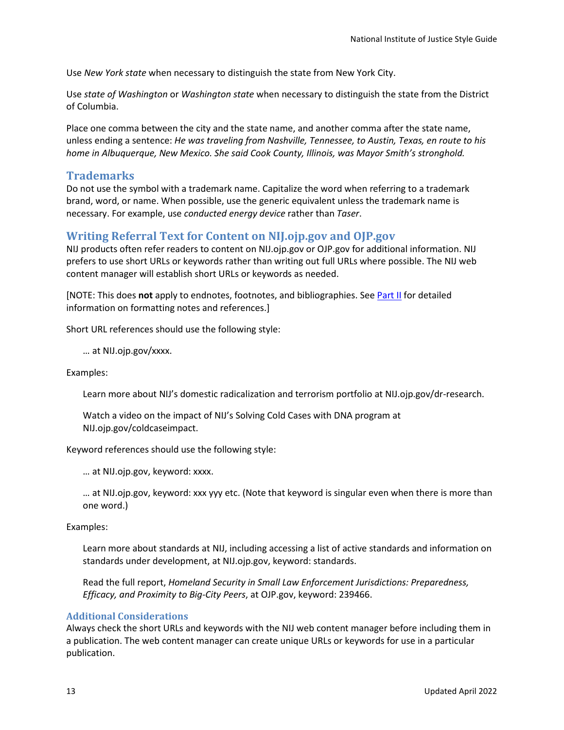Use *New York state* when necessary to distinguish the state from New York City.

Use *state of Washington* or *Washington state* when necessary to distinguish the state from the District of Columbia.

Place one comma between the city and the state name, and another comma after the state name, unless ending a sentence: *He was traveling from Nashville, Tennessee, to Austin, Texas, en route to his home in Albuquerque, New Mexico. She said Cook County, Illinois, was Mayor Smith's stronghold.*

# <span id="page-16-0"></span>**Trademarks**

Do not use the symbol with a trademark name. Capitalize the word when referring to a trademark brand, word, or name. When possible, use the generic equivalent unless the trademark name is necessary. For example, use *conducted energy device* rather than *Taser*.

# <span id="page-16-1"></span>**Writing Referral Text for Content on NIJ.ojp.gov and OJP.gov**

NIJ products often refer readers to content on NIJ.ojp.gov or OJP.gov for additional information. NIJ prefers to use short URLs or keywords rather than writing out full URLs where possible. The NIJ web content manager will establish short URLs or keywords as needed.

[NOTE: This does **not** apply to endnotes, footnotes, and bibliographies. Se[e Part II](#page-18-0) for detailed information on formatting notes and references.]

Short URL references should use the following style:

… at NIJ.ojp.gov/xxxx.

Examples:

Learn more about NIJ's domestic radicalization and terrorism portfolio at NIJ.ojp.gov/dr-research.

Watch a video on the impact of NIJ's Solving Cold Cases with DNA program at NIJ.ojp.gov/coldcaseimpact.

Keyword references should use the following style:

… at NIJ.ojp.gov, keyword: xxxx.

… at NIJ.ojp.gov, keyword: xxx yyy etc. (Note that keyword is singular even when there is more than one word.)

Examples:

Learn more about standards at NIJ, including accessing a list of active standards and information on standards under development, at NIJ.ojp.gov, keyword: standards.

Read the full report, *Homeland Security in Small Law Enforcement Jurisdictions: Preparedness, Efficacy, and Proximity to Big-City Peers*, at OJP.gov, keyword: 239466.

## <span id="page-16-2"></span>**Additional Considerations**

Always check the short URLs and keywords with the NIJ web content manager before including them in a publication. The web content manager can create unique URLs or keywords for use in a particular publication.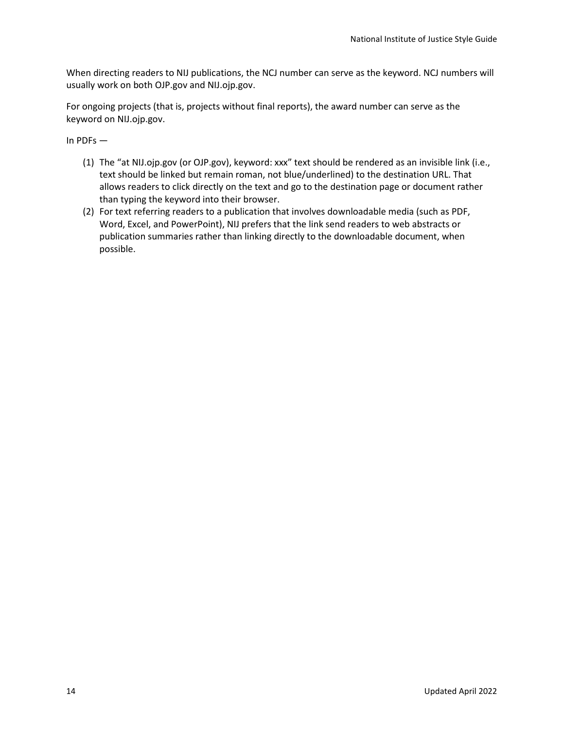When directing readers to NIJ publications, the NCJ number can serve as the keyword. NCJ numbers will usually work on both OJP.gov and NIJ.ojp.gov.

For ongoing projects (that is, projects without final reports), the award number can serve as the keyword on NIJ.ojp.gov.

In PDFs —

- (1) The "at NIJ.ojp.gov (or OJP.gov), keyword: xxx" text should be rendered as an invisible link (i.e., text should be linked but remain roman, not blue/underlined) to the destination URL. That allows readers to click directly on the text and go to the destination page or document rather than typing the keyword into their browser.
- (2) For text referring readers to a publication that involves downloadable media (such as PDF, Word, Excel, and PowerPoint), NIJ prefers that the link send readers to web abstracts or publication summaries rather than linking directly to the downloadable document, when possible.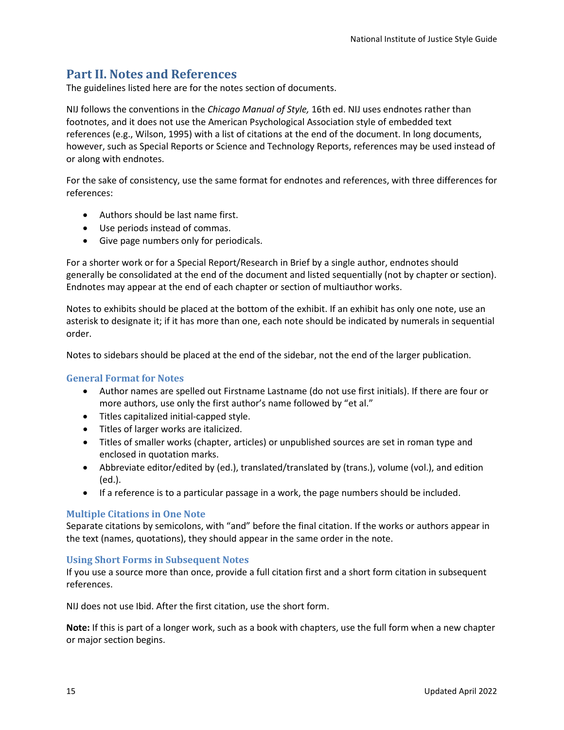# <span id="page-18-0"></span>**Part II. Notes and References**

The guidelines listed here are for the notes section of documents.

NIJ follows the conventions in the *Chicago Manual of Style,* 16th ed. NIJ uses endnotes rather than footnotes, and it does not use the American Psychological Association style of embedded text references (e.g., Wilson, 1995) with a list of citations at the end of the document. In long documents, however, such as Special Reports or Science and Technology Reports, references may be used instead of or along with endnotes.

For the sake of consistency, use the same format for endnotes and references, with three differences for references:

- Authors should be last name first.
- Use periods instead of commas.
- Give page numbers only for periodicals.

For a shorter work or for a Special Report/Research in Brief by a single author, endnotes should generally be consolidated at the end of the document and listed sequentially (not by chapter or section). Endnotes may appear at the end of each chapter or section of multiauthor works.

Notes to exhibits should be placed at the bottom of the exhibit. If an exhibit has only one note, use an asterisk to designate it; if it has more than one, each note should be indicated by numerals in sequential order.

Notes to sidebars should be placed at the end of the sidebar, not the end of the larger publication.

## <span id="page-18-1"></span>**General Format for Notes**

- Author names are spelled out Firstname Lastname (do not use first initials). If there are four or more authors, use only the first author's name followed by "et al."
- Titles capitalized initial-capped style.
- Titles of larger works are italicized.
- Titles of smaller works (chapter, articles) or unpublished sources are set in roman type and enclosed in quotation marks.
- Abbreviate editor/edited by (ed.), translated/translated by (trans.), volume (vol.), and edition (ed.).
- If a reference is to a particular passage in a work, the page numbers should be included.

## <span id="page-18-2"></span>**Multiple Citations in One Note**

Separate citations by semicolons, with "and" before the final citation. If the works or authors appear in the text (names, quotations), they should appear in the same order in the note.

## <span id="page-18-3"></span>**Using Short Forms in Subsequent Notes**

If you use a source more than once, provide a full citation first and a short form citation in subsequent references.

NIJ does not use Ibid. After the first citation, use the short form.

**Note:** If this is part of a longer work, such as a book with chapters, use the full form when a new chapter or major section begins.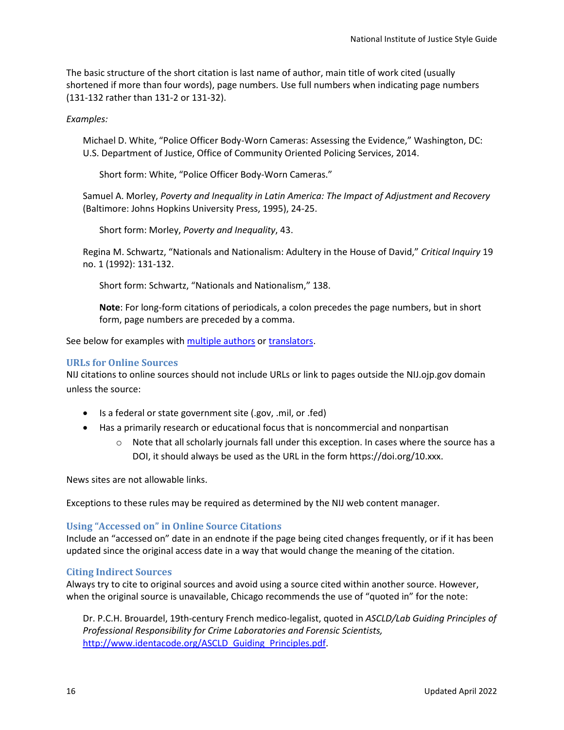The basic structure of the short citation is last name of author, main title of work cited (usually shortened if more than four words), page numbers. Use full numbers when indicating page numbers (131-132 rather than 131-2 or 131-32).

#### *Examples:*

Michael D. White, "Police Officer Body-Worn Cameras: Assessing the Evidence," Washington, DC: U.S. Department of Justice, Office of Community Oriented Policing Services, 2014.

Short form: White, "Police Officer Body-Worn Cameras."

Samuel A. Morley, *Poverty and Inequality in Latin America: The Impact of Adjustment and Recovery* (Baltimore: Johns Hopkins University Press, 1995), 24-25.

Short form: Morley, *Poverty and Inequality*, 43.

Regina M. Schwartz, "Nationals and Nationalism: Adultery in the House of David," *Critical Inquiry* 19 no. 1 (1992): 131-132.

Short form: Schwartz, "Nationals and Nationalism," 138.

**Note**: For long-form citations of periodicals, a colon precedes the page numbers, but in short form, page numbers are preceded by a comma.

See below for examples with [multiple authors](#page-20-2) or [translators.](#page-20-6)

#### <span id="page-19-0"></span>**URLs for Online Sources**

NIJ citations to online sources should not include URLs or link to pages outside the NIJ.ojp.gov domain unless the source:

- Is a federal or state government site (.gov, .mil, or .fed)
- Has a primarily research or educational focus that is noncommercial and nonpartisan
	- o Note that all scholarly journals fall under this exception. In cases where the source has a DOI, it should always be used as the URL in the form https://doi.org/10.xxx.

News sites are not allowable links.

Exceptions to these rules may be required as determined by the NIJ web content manager.

#### <span id="page-19-1"></span>**Using "Accessed on" in Online Source Citations**

Include an "accessed on" date in an endnote if the page being cited changes frequently, or if it has been updated since the original access date in a way that would change the meaning of the citation.

#### <span id="page-19-2"></span>**Citing Indirect Sources**

Always try to cite to original sources and avoid using a source cited within another source. However, when the original source is unavailable, Chicago recommends the use of "quoted in" for the note:

Dr. P.C.H. Brouardel, 19th-century French medico-legalist, quoted in *ASCLD/Lab Guiding Principles of Professional Responsibility for Crime Laboratories and Forensic Scientists,* http://www.identacode.org/ASCLD Guiding Principles.pdf.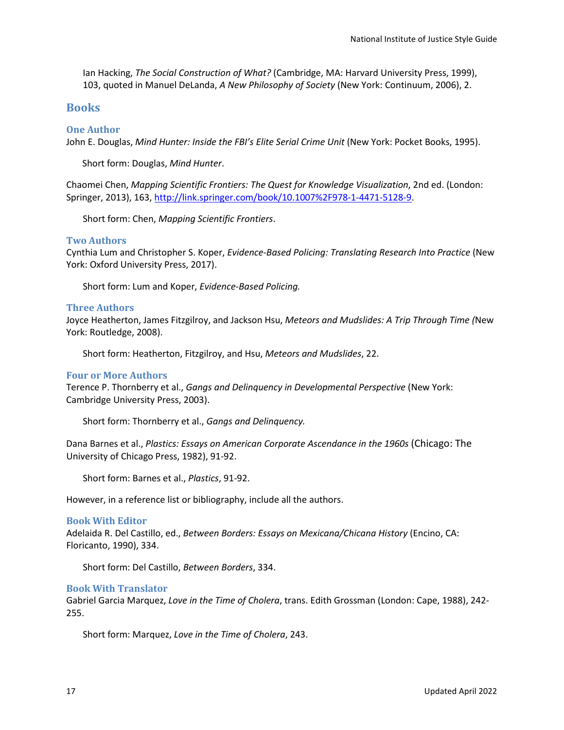Ian Hacking, *The Social Construction of What?* (Cambridge, MA: Harvard University Press, 1999), 103, quoted in Manuel DeLanda, *A New Philosophy of Society* (New York: Continuum, 2006), 2.

## <span id="page-20-0"></span>**Books**

#### <span id="page-20-1"></span>**One Author**

John E. Douglas, *Mind Hunter: Inside the FBI's Elite Serial Crime Unit* (New York: Pocket Books, 1995).

Short form: Douglas, *Mind Hunter*.

Chaomei Chen, *Mapping Scientific Frontiers: The Quest for Knowledge Visualization*, 2nd ed. (London: Springer, 2013), 163[, http://link.springer.com/book/10.1007%2F978-1-4471-5128-9.](http://link.springer.com/book/10.1007%2F978-1-4471-5128-9)

Short form: Chen, *Mapping Scientific Frontiers*.

#### <span id="page-20-2"></span>**Two Authors**

Cynthia Lum and Christopher S. Koper, *Evidence-Based Policing: Translating Research Into Practice* (New York: Oxford University Press, 2017).

Short form: Lum and Koper, *Evidence-Based Policing.*

#### <span id="page-20-3"></span>**Three Authors**

Joyce Heatherton, James Fitzgilroy, and Jackson Hsu, *Meteors and Mudslides: A Trip Through Time (*New York: Routledge, 2008).

Short form: Heatherton, Fitzgilroy, and Hsu, *Meteors and Mudslides*, 22.

#### <span id="page-20-4"></span>**Four or More Authors**

Terence P. Thornberry et al., *Gangs and Delinquency in Developmental Perspective* (New York: Cambridge University Press, 2003).

Short form: Thornberry et al., *Gangs and Delinquency.*

Dana Barnes et al., *Plastics: Essays on American Corporate Ascendance in the 1960s* (Chicago: The University of Chicago Press, 1982), 91-92.

Short form: Barnes et al., *Plastics*, 91-92.

However, in a reference list or bibliography, include all the authors.

#### <span id="page-20-5"></span>**Book With Editor**

Adelaida R. Del Castillo, ed., *Between Borders: Essays on Mexicana/Chicana History* (Encino, CA: Floricanto, 1990), 334.

Short form: Del Castillo, *Between Borders*, 334.

#### <span id="page-20-6"></span>**Book With Translator**

Gabriel Garcia Marquez, *Love in the Time of Cholera*, trans. Edith Grossman (London: Cape, 1988), 242- 255.

Short form: Marquez, *Love in the Time of Cholera*, 243.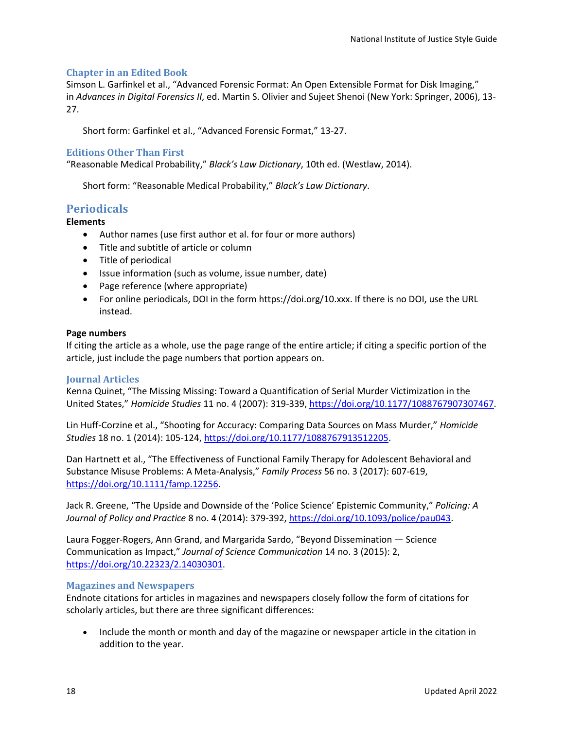#### <span id="page-21-0"></span>**Chapter in an Edited Book**

Simson L. Garfinkel et al., "Advanced Forensic Format: An Open Extensible Format for Disk Imaging," in *Advances in Digital Forensics II*, ed. Martin S. Olivier and Sujeet Shenoi (New York: Springer, 2006), 13- 27.

Short form: Garfinkel et al., "Advanced Forensic Format," 13-27.

#### <span id="page-21-1"></span>**Editions Other Than First**

"Reasonable Medical Probability," *Black's Law Dictionary*, 10th ed. (Westlaw, 2014).

Short form: "Reasonable Medical Probability," *Black's Law Dictionary*.

# <span id="page-21-2"></span>**Periodicals**

#### **Elements**

- Author names (use first author et al. for four or more authors)
- Title and subtitle of article or column
- Title of periodical
- Issue information (such as volume, issue number, date)
- Page reference (where appropriate)
- For online periodicals, DOI in the form https://doi.org/10.xxx. If there is no DOI, use the URL instead.

#### **Page numbers**

If citing the article as a whole, use the page range of the entire article; if citing a specific portion of the article, just include the page numbers that portion appears on.

#### <span id="page-21-3"></span>**Journal Articles**

Kenna Quinet, "The Missing Missing: Toward a Quantification of Serial Murder Victimization in the United States," *Homicide Studies* 11 no. 4 (2007): 319-339, [https://doi.org/10.1177/1088767907307467.](https://doi.org/10.1177/1088767907307467)

Lin Huff-Corzine et al., "Shooting for Accuracy: Comparing Data Sources on Mass Murder," *Homicide Studies* 18 no. 1 (2014): 105-124[, https://doi.org/10.1177/1088767913512205.](https://doi.org/10.1177/1088767913512205)

Dan Hartnett et al., "The Effectiveness of Functional Family Therapy for Adolescent Behavioral and Substance Misuse Problems: A Meta-Analysis," *Family Process* 56 no. 3 (2017): 607-619, [https://doi.org/10.1111/famp.12256.](https://doi.org/10.1111/famp.12256)

Jack R. Greene, "The Upside and Downside of the 'Police Science' Epistemic Community," *Policing: A Journal of Policy and Practice* 8 no. 4 (2014): 379-392, [https://doi.org/10.1093/police/pau043.](https://doi.org/10.1093/police/pau043)

Laura Fogger-Rogers, Ann Grand, and Margarida Sardo, "Beyond Dissemination — Science Communication as Impact," *Journal of Science Communication* 14 no. 3 (2015): 2, [https://doi.org/10.22323/2.14030301.](https://doi.org/10.22323/2.14030301)

#### <span id="page-21-4"></span>**Magazines and Newspapers**

Endnote citations for articles in magazines and newspapers closely follow the form of citations for scholarly articles, but there are three significant differences:

• Include the month or month and day of the magazine or newspaper article in the citation in addition to the year.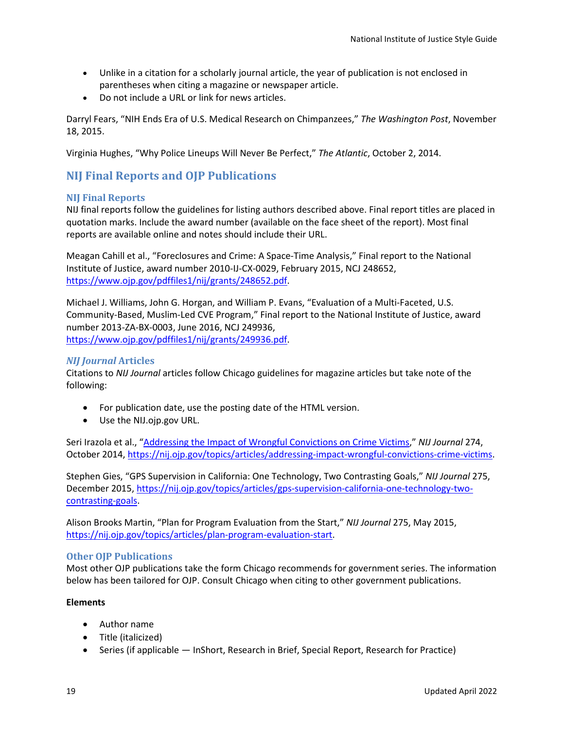- Unlike in a citation for a scholarly journal article, the year of publication is not enclosed in parentheses when citing a magazine or newspaper article.
- Do not include a URL or link for news articles.

Darryl Fears, "NIH Ends Era of U.S. Medical Research on Chimpanzees," *The Washington Post*, November 18, 2015.

Virginia Hughes, "Why Police Lineups Will Never Be Perfect," *The Atlantic*, October 2, 2014.

# <span id="page-22-0"></span>**NIJ Final Reports and OJP Publications**

#### <span id="page-22-1"></span>**NIJ Final Reports**

NIJ final reports follow the guidelines for listing authors described above. Final report titles are placed in quotation marks. Include the award number (available on the face sheet of the report). Most final reports are available online and notes should include their URL.

Meagan Cahill et al., "Foreclosures and Crime: A Space-Time Analysis," Final report to the National Institute of Justice, award number 2010-IJ-CX-0029, February 2015, NCJ 248652, [https://www.ojp.gov/pdffiles1/nij/grants/248652.pdf.](https://www.ojp.gov/pdffiles1/nij/grants/248652.pdf)

Michael J. Williams, John G. Horgan, and William P. Evans, "Evaluation of a Multi-Faceted, U.S. Community-Based, Muslim-Led CVE Program," Final report to the National Institute of Justice, award number 2013-ZA-BX-0003, June 2016, NCJ 249936, [https://www.ojp.gov/pdffiles1/nij/grants/249936.pdf.](https://www.ojp.gov/pdffiles1/nij/grants/249936.pdf)

#### <span id="page-22-2"></span>*NIJ Journal* **Articles**

Citations to *NIJ Journal* articles follow Chicago guidelines for magazine articles but take note of the following:

- For publication date, use the posting date of the HTML version.
- Use the NIJ.ojp.gov URL.

Seri Irazola et al., ["Addressing the Impact of Wrongful Convictions on Crime Victims,](https://nij.ojp.gov/topics/articles/addressing-impact-wrongful-convictions-crime-victims)" *NIJ Journal* 274, October 2014, [https://nij.ojp.gov/topics/articles/addressing-impact-wrongful-convictions-crime-victims.](https://nij.ojp.gov/topics/articles/addressing-impact-wrongful-convictions-crime-victims)

Stephen Gies, "GPS Supervision in California: One Technology, Two Contrasting Goals," *NIJ Journal* 275, December 2015, [https://nij.ojp.gov/topics/articles/gps-supervision-california-one-technology-two](https://nij.ojp.gov/topics/articles/gps-supervision-california-one-technology-two-contrasting-goals)[contrasting-goals.](https://nij.ojp.gov/topics/articles/gps-supervision-california-one-technology-two-contrasting-goals)

Alison Brooks Martin, "Plan for Program Evaluation from the Start," *NIJ Journal* 275, May 2015, [https://nij.ojp.gov/topics/articles/plan-program-evaluation-start.](https://nij.ojp.gov/topics/articles/plan-program-evaluation-start)

#### <span id="page-22-3"></span>**Other OJP Publications**

Most other OJP publications take the form Chicago recommends for government series. The information below has been tailored for OJP. Consult Chicago when citing to other government publications.

#### **Elements**

- Author name
- Title (italicized)
- Series (if applicable InShort, Research in Brief, Special Report, Research for Practice)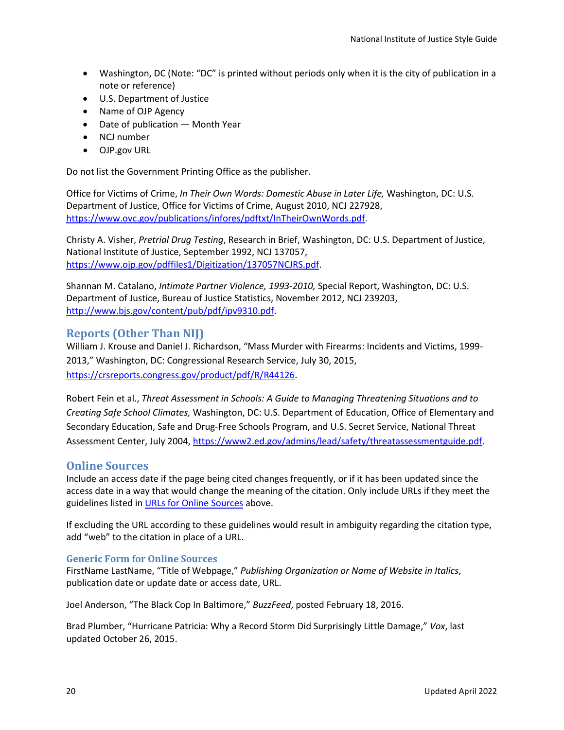- Washington, DC (Note: "DC" is printed without periods only when it is the city of publication in a note or reference)
- U.S. Department of Justice
- Name of OJP Agency
- Date of publication Month Year
- NCJ number
- OJP.gov URL

Do not list the Government Printing Office as the publisher.

Office for Victims of Crime, *In Their Own Words: Domestic Abuse in Later Life,* Washington, DC: U.S. Department of Justice, Office for Victims of Crime, August 2010, NCJ 227928, [https://www.ovc.gov/publications/infores/pdftxt/InTheirOwnWords.pdf.](https://www.ovc.gov/publications/infores/pdftxt/InTheirOwnWords.pdf)

Christy A. Visher, *Pretrial Drug Testing*, Research in Brief, Washington, DC: U.S. Department of Justice, National Institute of Justice, September 1992, NCJ 137057, [https://www.ojp.gov/pdffiles1/Digitization/137057NCJRS.pdf.](https://www.ojp.gov/pdffiles1/Digitization/137057NCJRS.pdf)

Shannan M. Catalano, *Intimate Partner Violence, 1993-2010,* Special Report, Washington, DC: U.S. Department of Justice, Bureau of Justice Statistics, November 2012, NCJ 239203, [http://www.bjs.gov/content/pub/pdf/ipv9310.pdf.](http://www.bjs.gov/content/pub/pdf/ipv9310.pdf)

## <span id="page-23-0"></span>**Reports (Other Than NIJ)**

William J. Krouse and Daniel J. Richardson, "Mass Murder with Firearms: Incidents and Victims, 1999- 2013," Washington, DC: Congressional Research Service, July 30, 2015, [https://crsreports.congress.gov/product/pdf/R/R44126.](https://crsreports.congress.gov/product/pdf/R/R44126)

Robert Fein et al., *Threat Assessment in Schools: A Guide to Managing Threatening Situations and to Creating Safe School Climates,* Washington, DC: U.S. Department of Education, Office of Elementary and Secondary Education, Safe and Drug-Free Schools Program, and U.S. Secret Service, National Threat Assessment Center, July 2004[, https://www2.ed.gov/admins/lead/safety/threatassessmentguide.pdf.](https://www2.ed.gov/admins/lead/safety/threatassessmentguide.pdf)

# <span id="page-23-1"></span>**Online Sources**

Include an access date if the page being cited changes frequently, or if it has been updated since the access date in a way that would change the meaning of the citation. Only include URLs if they meet the guidelines listed i[n URLs for Online Sources](#page-19-0) above.

If excluding the URL according to these guidelines would result in ambiguity regarding the citation type, add "web" to the citation in place of a URL.

#### <span id="page-23-2"></span>**Generic Form for Online Sources**

FirstName LastName, "Title of Webpage," *Publishing Organization or Name of Website in Italics*, publication date or update date or access date, URL.

Joel Anderson, "The Black Cop In Baltimore," *BuzzFeed*, posted February 18, 2016.

Brad Plumber, "Hurricane Patricia: Why a Record Storm Did Surprisingly Little Damage," *Vox*, last updated October 26, 2015.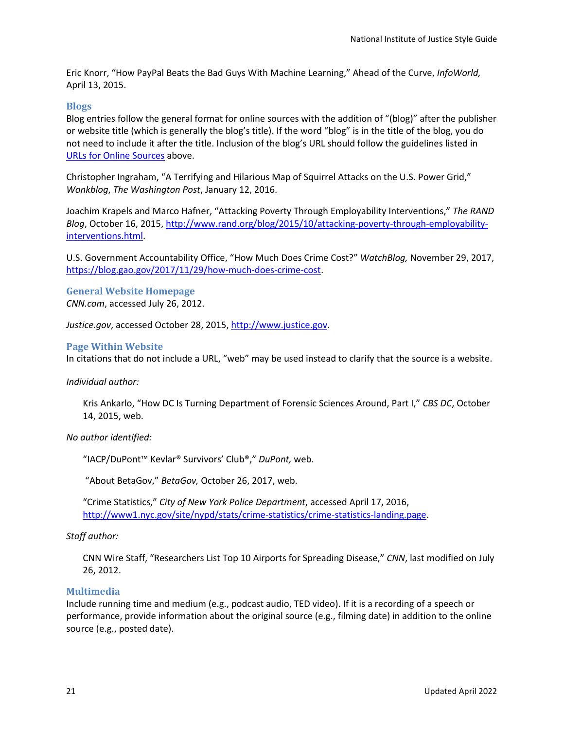Eric Knorr, "How PayPal Beats the Bad Guys With Machine Learning," Ahead of the Curve, *InfoWorld,* April 13, 2015.

#### <span id="page-24-0"></span>**Blogs**

Blog entries follow the general format for online sources with the addition of "(blog)" after the publisher or website title (which is generally the blog's title). If the word "blog" is in the title of the blog, you do not need to include it after the title. Inclusion of the blog's URL should follow the guidelines listed in [URLs for Online Sources](#page-19-0) above.

Christopher Ingraham, "A Terrifying and Hilarious Map of Squirrel Attacks on the U.S. Power Grid," *Wonkblog*, *The Washington Post*, January 12, 2016.

Joachim Krapels and Marco Hafner, "Attacking Poverty Through Employability Interventions," *The RAND Blog*, October 16, 2015, [http://www.rand.org/blog/2015/10/attacking-poverty-through-employability](http://www.rand.org/blog/2015/10/attacking-poverty-through-employability-interventions.html)[interventions.html.](http://www.rand.org/blog/2015/10/attacking-poverty-through-employability-interventions.html)

U.S. Government Accountability Office, "How Much Does Crime Cost?" *WatchBlog,* November 29, 2017, [https://blog.gao.gov/2017/11/29/how-much-does-crime-cost.](https://blog.gao.gov/2017/11/29/how-much-does-crime-cost)

# <span id="page-24-1"></span>**General Website Homepage**

*CNN.com*, accessed July 26, 2012.

*Justice.gov*, accessed October 28, 2015, [http://www.justice.gov.](http://www.justice.gov/)

#### <span id="page-24-2"></span>**Page Within Website**

In citations that do not include a URL, "web" may be used instead to clarify that the source is a website.

#### *Individual author:*

Kris Ankarlo, "How DC Is Turning Department of Forensic Sciences Around, Part I," *CBS DC*, October 14, 2015, web.

#### *No author identified:*

"IACP/DuPont™ Kevlar® Survivors' Club®," *DuPont,* web.

"About BetaGov," *BetaGov,* October 26, 2017, web.

"Crime Statistics," *City of New York Police Department*, accessed April 17, 2016, [http://www1.nyc.gov/site/nypd/stats/crime-statistics/crime-statistics-landing.page.](http://www1.nyc.gov/site/nypd/stats/crime-statistics/crime-statistics-landing.page)

#### *Staff author:*

CNN Wire Staff, "Researchers List Top 10 Airports for Spreading Disease," *CNN*, last modified on July 26, 2012.

#### <span id="page-24-3"></span>**Multimedia**

Include running time and medium (e.g., podcast audio, TED video). If it is a recording of a speech or performance, provide information about the original source (e.g., filming date) in addition to the online source (e.g., posted date).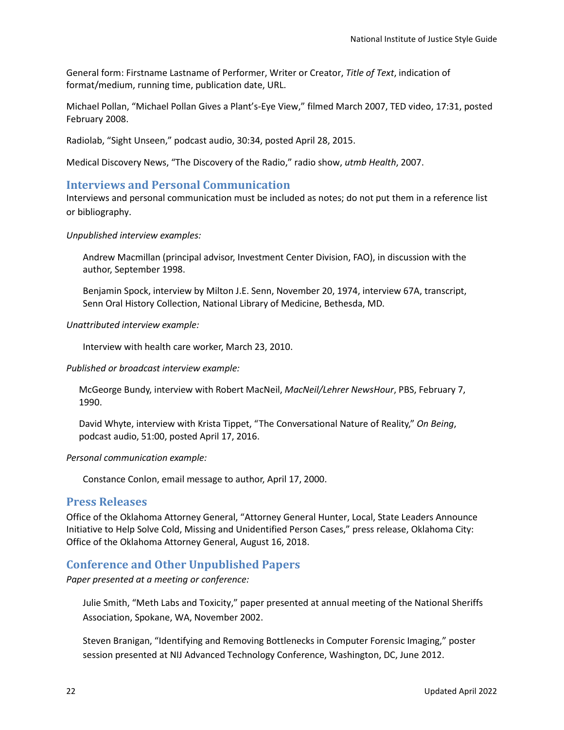General form: Firstname Lastname of Performer, Writer or Creator, *Title of Text*, indication of format/medium, running time, publication date, URL.

Michael Pollan, "Michael Pollan Gives a Plant's-Eye View," filmed March 2007, TED video, 17:31, posted February 2008.

Radiolab, "Sight Unseen," podcast audio, 30:34, posted April 28, 2015.

Medical Discovery News, "The Discovery of the Radio," radio show, *utmb Health*, 2007.

# <span id="page-25-0"></span>**Interviews and Personal Communication**

Interviews and personal communication must be included as notes; do not put them in a reference list or bibliography.

*Unpublished interview examples:*

Andrew Macmillan (principal advisor, Investment Center Division, FAO), in discussion with the author, September 1998.

Benjamin Spock, interview by Milton J.E. Senn, November 20, 1974, interview 67A, transcript, Senn Oral History Collection, National Library of Medicine, Bethesda, MD.

*Unattributed interview example:*

Interview with health care worker, March 23, 2010.

*Published or broadcast interview example:*

McGeorge Bundy, interview with Robert MacNeil, *MacNeil/Lehrer NewsHour*, PBS, February 7, 1990.

David Whyte, interview with Krista Tippet, "The Conversational Nature of Reality," *On Being*, podcast audio, 51:00, posted April 17, 2016.

*Personal communication example:*

Constance Conlon, email message to author, April 17, 2000.

# <span id="page-25-1"></span>**Press Releases**

Office of the Oklahoma Attorney General, "Attorney General Hunter, Local, State Leaders Announce Initiative to Help Solve Cold, Missing and Unidentified Person Cases," press release, Oklahoma City: Office of the Oklahoma Attorney General, August 16, 2018.

# <span id="page-25-2"></span>**Conference and Other Unpublished Papers**

*Paper presented at a meeting or conference:*

Julie Smith, "Meth Labs and Toxicity," paper presented at annual meeting of the National Sheriffs Association, Spokane, WA, November 2002.

Steven Branigan, "Identifying and Removing Bottlenecks in Computer Forensic Imaging," poster session presented at NIJ Advanced Technology Conference, Washington, DC, June 2012.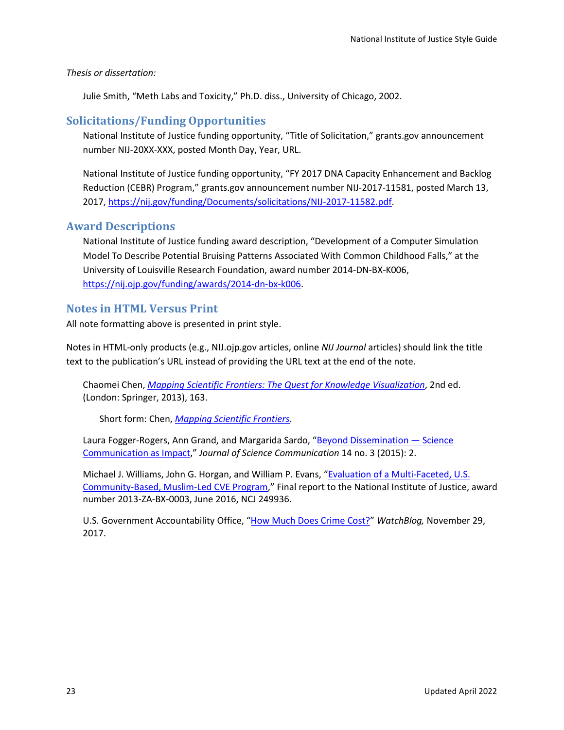#### *Thesis or dissertation:*

Julie Smith, "Meth Labs and Toxicity," Ph.D. diss., University of Chicago, 2002.

# <span id="page-26-0"></span>**Solicitations/Funding Opportunities**

National Institute of Justice funding opportunity, "Title of Solicitation," grants.gov announcement number NIJ-20XX-XXX, posted Month Day, Year, URL.

National Institute of Justice funding opportunity, "FY 2017 DNA Capacity Enhancement and Backlog Reduction (CEBR) Program," grants.gov announcement number NIJ-2017-11581, posted March 13, 2017, [https://nij.gov/funding/Documents/solicitations/NIJ-2017-11582.pdf.](https://nij.gov/funding/Documents/solicitations/NIJ-2017-11582.pdf)

# <span id="page-26-1"></span>**Award Descriptions**

National Institute of Justice funding award description, "Development of a Computer Simulation Model To Describe Potential Bruising Patterns Associated With Common Childhood Falls," at the University of Louisville Research Foundation, award number 2014-DN-BX-K006, [https://nij.ojp.gov/funding/awards/2014-dn-bx-k006.](https://nij.ojp.gov/funding/awards/2014-dn-bx-k006)

# <span id="page-26-2"></span>**Notes in HTML Versus Print**

All note formatting above is presented in print style.

Notes in HTML-only products (e.g., NIJ.ojp.gov articles, online *NIJ Journal* articles) should link the title text to the publication's URL instead of providing the URL text at the end of the note.

Chaomei Chen, *[Mapping Scientific Frontiers: The Quest for Knowledge Visualization](http://link.springer.com/book/10.1007%2F978-1-4471-5128-9)*, 2nd ed. (London: Springer, 2013), 163.

Short form: Chen, *[Mapping Scientific Frontiers](http://link.springer.com/book/10.1007%2F978-1-4471-5128-9)*.

Laura Fogger-Rogers, Ann Grand, and Margarida Sardo, "Beyond Dissemination - Science [Communication as Impact,](https://doi.org/10.22323/2.14030301)" *Journal of Science Communication* 14 no. 3 (2015): 2.

Michael J. Williams, John G. Horgan, and William P. Evans, ["Evaluation of a Multi-Faceted, U.S.](https://www.ojp.gov/pdffiles1/nij/grants/249936.pdf)  [Community-Based, Muslim-Led CVE Program,](https://www.ojp.gov/pdffiles1/nij/grants/249936.pdf)" Final report to the National Institute of Justice, award number 2013-ZA-BX-0003, June 2016, NCJ 249936.

U.S. Government Accountability Office, ["How Much Does Crime Cost?"](https://blog.gao.gov/2017/11/29/how-much-does-crime-cost) *WatchBlog,* November 29, 2017.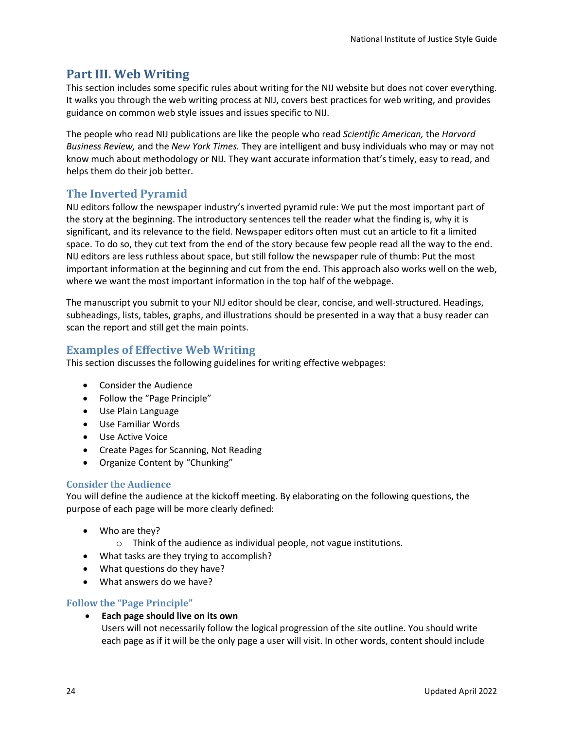# <span id="page-27-0"></span>**Part III. Web Writing**

This section includes some specific rules about writing for the NIJ website but does not cover everything. It walks you through the web writing process at NIJ, covers best practices for web writing, and provides guidance on common web style issues and issues specific to NIJ.

The people who read NIJ publications are like the people who read *Scientific American,* the *Harvard Business Review,* and the *New York Times.* They are intelligent and busy individuals who may or may not know much about methodology or NIJ. They want accurate information that's timely, easy to read, and helps them do their job better.

# <span id="page-27-1"></span>**The Inverted Pyramid**

NIJ editors follow the newspaper industry's inverted pyramid rule: We put the most important part of the story at the beginning. The introductory sentences tell the reader what the finding is, why it is significant, and its relevance to the field. Newspaper editors often must cut an article to fit a limited space. To do so, they cut text from the end of the story because few people read all the way to the end. NIJ editors are less ruthless about space, but still follow the newspaper rule of thumb: Put the most important information at the beginning and cut from the end. This approach also works well on the web, where we want the most important information in the top half of the webpage.

The manuscript you submit to your NIJ editor should be clear, concise, and well-structured. Headings, subheadings, lists, tables, graphs, and illustrations should be presented in a way that a busy reader can scan the report and still get the main points.

# <span id="page-27-2"></span>**Examples of Effective Web Writing**

This section discusses the following guidelines for writing effective webpages:

- Consider the Audience
- Follow the "Page Principle"
- Use Plain Language
- Use Familiar Words
- Use Active Voice
- Create Pages for Scanning, Not Reading
- Organize Content by "Chunking"

# <span id="page-27-3"></span>**Consider the Audience**

You will define the audience at the kickoff meeting. By elaborating on the following questions, the purpose of each page will be more clearly defined:

- Who are they?
	- o Think of the audience as individual people, not vague institutions.
- What tasks are they trying to accomplish?
- What questions do they have?
- What answers do we have?

# <span id="page-27-4"></span>**Follow the "Page Principle"**

• **Each page should live on its own**

Users will not necessarily follow the logical progression of the site outline. You should write each page as if it will be the only page a user will visit. In other words, content should include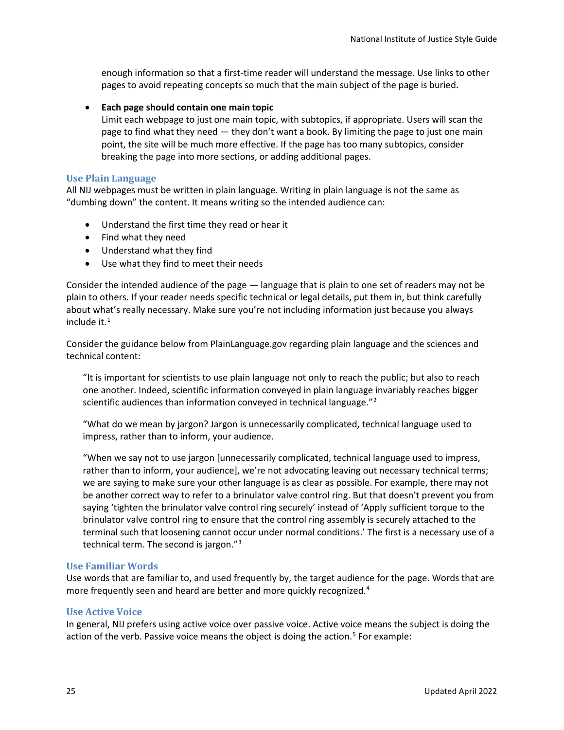enough information so that a first-time reader will understand the message. Use links to other pages to avoid repeating concepts so much that the main subject of the page is buried.

#### • **Each page should contain one main topic**

Limit each webpage to just one main topic, with subtopics, if appropriate. Users will scan the page to find what they need — they don't want a book. By limiting the page to just one main point, the site will be much more effective. If the page has too many subtopics, consider breaking the page into more sections, or adding additional pages.

#### <span id="page-28-0"></span>**Use Plain Language**

All NIJ webpages must be written in plain language. Writing in plain language is not the same as "dumbing down" the content. It means writing so the intended audience can:

- Understand the first time they read or hear it
- Find what they need
- Understand what they find
- Use what they find to meet their needs

Consider the intended audience of the page — language that is plain to one set of readers may not be plain to others. If your reader needs specific technical or legal details, put them in, but think carefully about what's really necessary. Make sure you're not including information just because you always include it. $<sup>1</sup>$  $<sup>1</sup>$  $<sup>1</sup>$ </sup>

Consider the guidance below from PlainLanguage.gov regarding plain language and the sciences and technical content:

"It is important for scientists to use plain language not only to reach the public; but also to reach one another. Indeed, scientific information conveyed in plain language invariably reaches bigger scientific audiences than information conveyed in technical language."<sup>[2](#page-32-1)</sup>

"What do we mean by jargon? Jargon is unnecessarily complicated, technical language used to impress, rather than to inform, your audience.

"When we say not to use jargon [unnecessarily complicated, technical language used to impress, rather than to inform, your audience], we're not advocating leaving out necessary technical terms; we are saying to make sure your other language is as clear as possible. For example, there may not be another correct way to refer to a brinulator valve control ring. But that doesn't prevent you from saying 'tighten the brinulator valve control ring securely' instead of 'Apply sufficient torque to the brinulator valve control ring to ensure that the control ring assembly is securely attached to the terminal such that loosening cannot occur under normal conditions.' The first is a necessary use of a technical term. The second is jargon."[3](#page-32-2)

#### <span id="page-28-1"></span>**Use Familiar Words**

Use words that are familiar to, and used frequently by, the target audience for the page. Words that are more frequently seen and heard are better and more quickly recognized.<sup>[4](#page-32-3)</sup>

## <span id="page-28-2"></span>**Use Active Voice**

In general, NIJ prefers using active voice over passive voice. Active voice means the subject is doing the action of the verb. Passive voice means the object is doing the action.<sup>[5](#page-32-4)</sup> For example: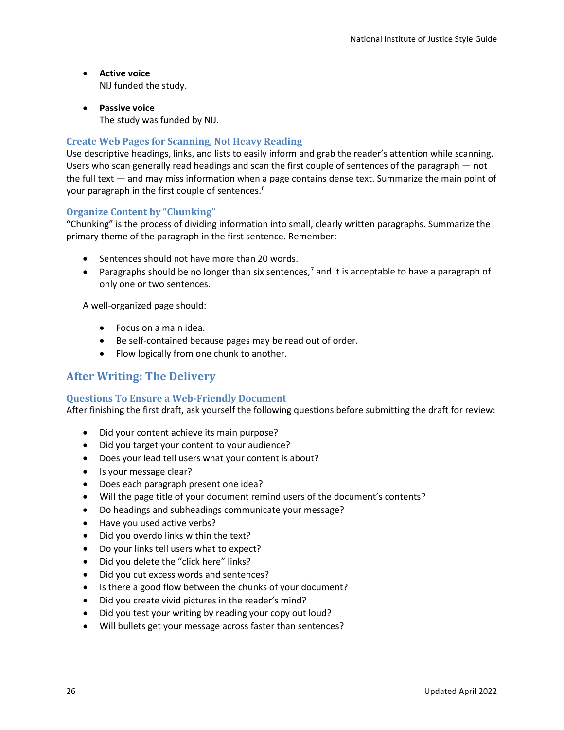- **Active voice** NIJ funded the study.
- **Passive voice** The study was funded by NIJ.

## <span id="page-29-0"></span>**Create Web Pages for Scanning, Not Heavy Reading**

Use descriptive headings, links, and lists to easily inform and grab the reader's attention while scanning. Users who scan generally read headings and scan the first couple of sentences of the paragraph — not the full text — and may miss information when a page contains dense text. Summarize the main point of your paragraph in the first couple of sentences.[6](#page-32-5)

## <span id="page-29-1"></span>**Organize Content by "Chunking"**

"Chunking" is the process of dividing information into small, clearly written paragraphs. Summarize the primary theme of the paragraph in the first sentence. Remember:

- Sentences should not have more than 20 words.
- Paragraphs should be no longer than six sentences,<sup>[7](#page-32-6)</sup> and it is acceptable to have a paragraph of only one or two sentences.

A well-organized page should:

- Focus on a main idea.
- Be self-contained because pages may be read out of order.
- Flow logically from one chunk to another.

# <span id="page-29-2"></span>**After Writing: The Delivery**

## <span id="page-29-3"></span>**Questions To Ensure a Web-Friendly Document**

After finishing the first draft, ask yourself the following questions before submitting the draft for review:

- Did your content achieve its main purpose?
- Did you target your content to your audience?
- Does your lead tell users what your content is about?
- Is your message clear?
- Does each paragraph present one idea?
- Will the page title of your document remind users of the document's contents?
- Do headings and subheadings communicate your message?
- Have you used active verbs?
- Did you overdo links within the text?
- Do your links tell users what to expect?
- Did you delete the "click here" links?
- Did you cut excess words and sentences?
- Is there a good flow between the chunks of your document?
- Did you create vivid pictures in the reader's mind?
- Did you test your writing by reading your copy out loud?
- Will bullets get your message across faster than sentences?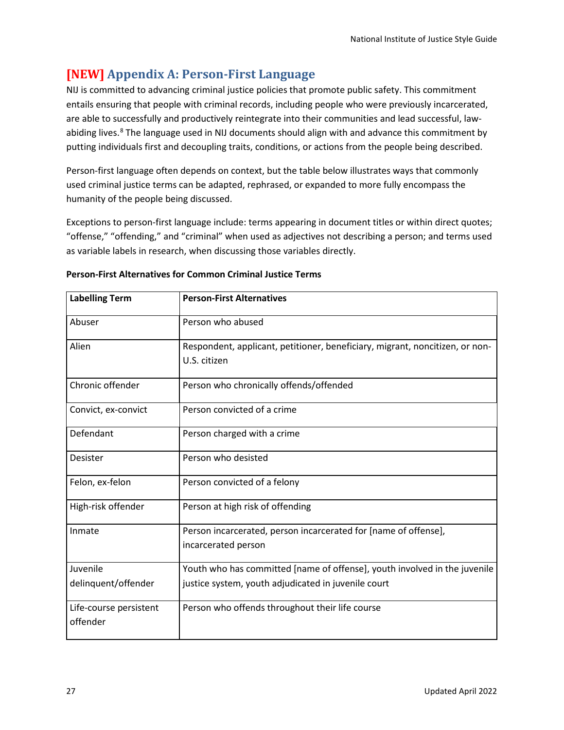# <span id="page-30-0"></span>**[NEW] Appendix A: Person-First Language**

NIJ is committed to advancing criminal justice policies that promote public safety. This commitment entails ensuring that people with criminal records, including people who were previously incarcerated, are able to successfully and productively reintegrate into their communities and lead successful, law-abiding lives.<sup>[8](#page-32-7)</sup> The language used in NIJ documents should align with and advance this commitment by putting individuals first and decoupling traits, conditions, or actions from the people being described.

Person-first language often depends on context, but the table below illustrates ways that commonly used criminal justice terms can be adapted, rephrased, or expanded to more fully encompass the humanity of the people being discussed.

Exceptions to person-first language include: terms appearing in document titles or within direct quotes; "offense," "offending," and "criminal" when used as adjectives not describing a person; and terms used as variable labels in research, when discussing those variables directly.

| <b>Labelling Term</b>  | <b>Person-First Alternatives</b>                                             |
|------------------------|------------------------------------------------------------------------------|
| Abuser                 | Person who abused                                                            |
| Alien                  | Respondent, applicant, petitioner, beneficiary, migrant, noncitizen, or non- |
|                        | U.S. citizen                                                                 |
| Chronic offender       | Person who chronically offends/offended                                      |
| Convict, ex-convict    | Person convicted of a crime                                                  |
| Defendant              | Person charged with a crime                                                  |
| Desister               | Person who desisted                                                          |
| Felon, ex-felon        | Person convicted of a felony                                                 |
| High-risk offender     | Person at high risk of offending                                             |
| Inmate                 | Person incarcerated, person incarcerated for [name of offense],              |
|                        | incarcerated person                                                          |
| Juvenile               | Youth who has committed [name of offense], youth involved in the juvenile    |
| delinquent/offender    | justice system, youth adjudicated in juvenile court                          |
| Life-course persistent | Person who offends throughout their life course                              |
| offender               |                                                                              |

# **Person-First Alternatives for Common Criminal Justice Terms**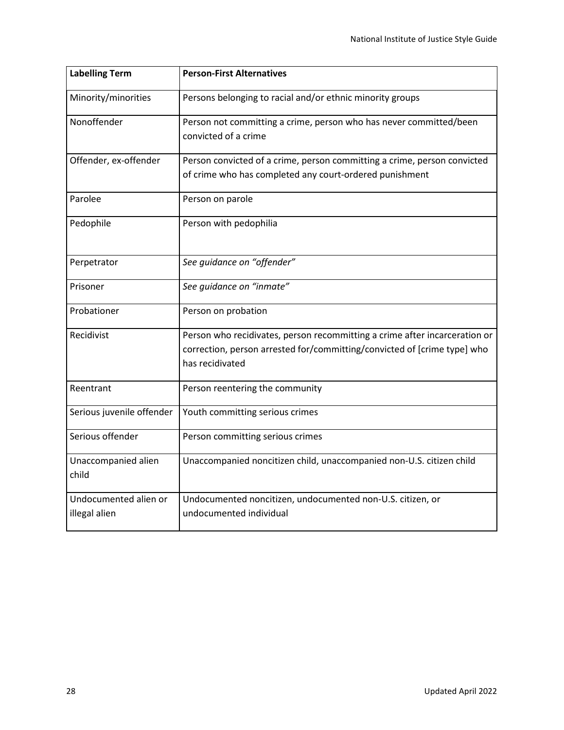| <b>Labelling Term</b>        | <b>Person-First Alternatives</b>                                           |
|------------------------------|----------------------------------------------------------------------------|
| Minority/minorities          | Persons belonging to racial and/or ethnic minority groups                  |
| Nonoffender                  | Person not committing a crime, person who has never committed/been         |
|                              | convicted of a crime                                                       |
| Offender, ex-offender        | Person convicted of a crime, person committing a crime, person convicted   |
|                              | of crime who has completed any court-ordered punishment                    |
| Parolee                      | Person on parole                                                           |
| Pedophile                    | Person with pedophilia                                                     |
| Perpetrator                  | See guidance on "offender"                                                 |
|                              |                                                                            |
| Prisoner                     | See guidance on "inmate"                                                   |
| Probationer                  | Person on probation                                                        |
| Recidivist                   | Person who recidivates, person recommitting a crime after incarceration or |
|                              | correction, person arrested for/committing/convicted of [crime type] who   |
|                              | has recidivated                                                            |
| Reentrant                    | Person reentering the community                                            |
| Serious juvenile offender    | Youth committing serious crimes                                            |
| Serious offender             | Person committing serious crimes                                           |
| Unaccompanied alien<br>child | Unaccompanied noncitizen child, unaccompanied non-U.S. citizen child       |
| Undocumented alien or        | Undocumented noncitizen, undocumented non-U.S. citizen, or                 |
| illegal alien                | undocumented individual                                                    |